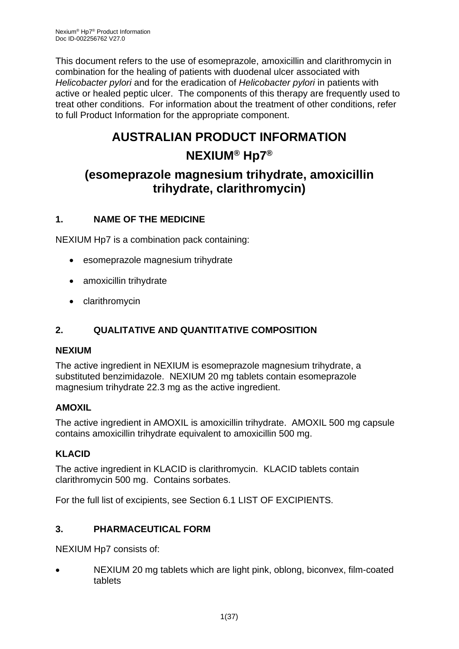This document refers to the use of esomeprazole, amoxicillin and clarithromycin in combination for the healing of patients with duodenal ulcer associated with *Helicobacter pylori* and for the eradication of *Helicobacter pylori* in patients with active or healed peptic ulcer. The components of this therapy are frequently used to treat other conditions. For information about the treatment of other conditions, refer to full Product Information for the appropriate component.

# **AUSTRALIAN PRODUCT INFORMATION**

# **NEXIUM® Hp7®**

# **(esomeprazole magnesium trihydrate, amoxicillin trihydrate, clarithromycin)**

# **1. NAME OF THE MEDICINE**

NEXIUM Hp7 is a combination pack containing:

- esomeprazole magnesium trihydrate
- amoxicillin trihydrate
- clarithromycin

# **2. QUALITATIVE AND QUANTITATIVE COMPOSITION**

### **NEXIUM**

The active ingredient in NEXIUM is esomeprazole magnesium trihydrate, a substituted benzimidazole. NEXIUM 20 mg tablets contain esomeprazole magnesium trihydrate 22.3 mg as the active ingredient.

### **AMOXIL**

The active ingredient in AMOXIL is amoxicillin trihydrate. AMOXIL 500 mg capsule contains amoxicillin trihydrate equivalent to amoxicillin 500 mg.

# **KLACID**

The active ingredient in KLACID is clarithromycin. KLACID tablets contain clarithromycin 500 mg. Contains sorbates.

For the full list of excipients, see Section 6.1 LIST OF EXCIPIENTS.

# **3. PHARMACEUTICAL FORM**

NEXIUM Hp7 consists of:

• NEXIUM 20 mg tablets which are light pink, oblong, biconvex, film-coated tablets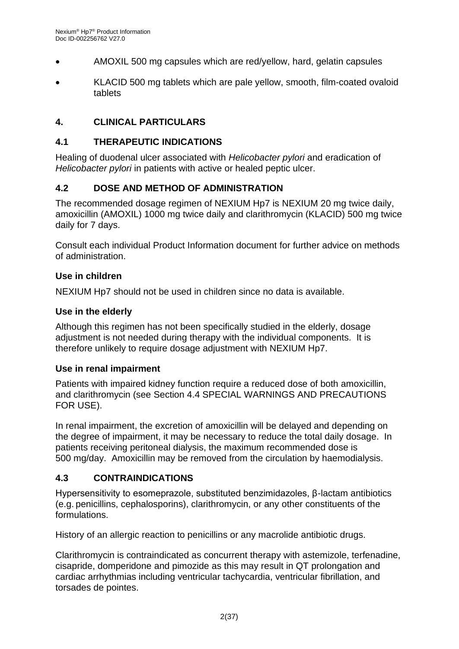- AMOXIL 500 mg capsules which are red/yellow, hard, gelatin capsules
- KLACID 500 mg tablets which are pale yellow, smooth, film-coated ovaloid tablets

### **4. CLINICAL PARTICULARS**

#### **4.1 THERAPEUTIC INDICATIONS**

Healing of duodenal ulcer associated with *Helicobacter pylori* and eradication of *Helicobacter pylori* in patients with active or healed peptic ulcer.

### **4.2 DOSE AND METHOD OF ADMINISTRATION**

The recommended dosage regimen of NEXIUM Hp7 is NEXIUM 20 mg twice daily, amoxicillin (AMOXIL) 1000 mg twice daily and clarithromycin (KLACID) 500 mg twice daily for 7 days.

Consult each individual Product Information document for further advice on methods of administration.

#### **Use in children**

NEXIUM Hp7 should not be used in children since no data is available.

#### **Use in the elderly**

Although this regimen has not been specifically studied in the elderly, dosage adjustment is not needed during therapy with the individual components. It is therefore unlikely to require dosage adjustment with NEXIUM Hp7.

#### **Use in renal impairment**

Patients with impaired kidney function require a reduced dose of both amoxicillin, and clarithromycin (see Section 4.4 SPECIAL WARNINGS AND PRECAUTIONS FOR USE).

In renal impairment, the excretion of amoxicillin will be delayed and depending on the degree of impairment, it may be necessary to reduce the total daily dosage. In patients receiving peritoneal dialysis, the maximum recommended dose is 500 mg/day. Amoxicillin may be removed from the circulation by haemodialysis.

### **4.3 CONTRAINDICATIONS**

Hypersensitivity to esomeprazole, substituted benzimidazoles, β-lactam antibiotics (e.g. penicillins, cephalosporins), clarithromycin, or any other constituents of the formulations.

History of an allergic reaction to penicillins or any macrolide antibiotic drugs.

Clarithromycin is contraindicated as concurrent therapy with astemizole, terfenadine, cisapride, domperidone and pimozide as this may result in QT prolongation and cardiac arrhythmias including ventricular tachycardia, ventricular fibrillation, and torsades de pointes.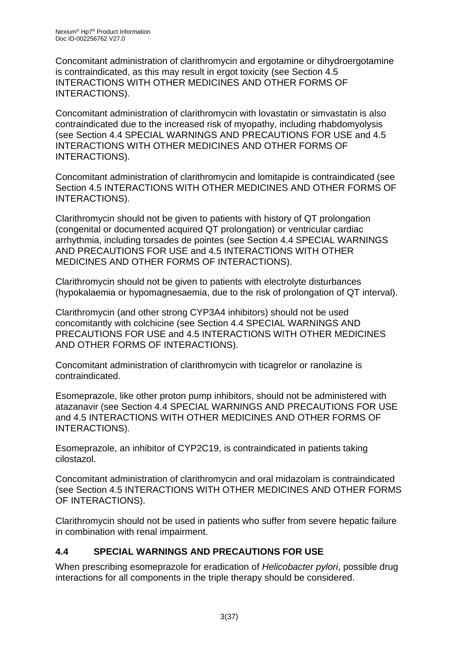Concomitant administration of clarithromycin and ergotamine or dihydroergotamine is contraindicated, as this may result in ergot toxicity (see Section 4.5 INTERACTIONS WITH OTHER MEDICINES AND OTHER FORMS OF INTERACTIONS).

Concomitant administration of clarithromycin with lovastatin or simvastatin is also contraindicated due to the increased risk of myopathy, including rhabdomyolysis (see Section 4.4 SPECIAL WARNINGS AND PRECAUTIONS FOR USE and 4.5 INTERACTIONS WITH OTHER MEDICINES AND OTHER FORMS OF INTERACTIONS).

Concomitant administration of clarithromycin and lomitapide is contraindicated (see Section 4.5 INTERACTIONS WITH OTHER MEDICINES AND OTHER FORMS OF INTERACTIONS).

Clarithromycin should not be given to patients with history of QT prolongation (congenital or documented acquired QT prolongation) or ventricular cardiac arrhythmia, including torsades de pointes (see Section 4.4 SPECIAL WARNINGS AND PRECAUTIONS FOR USE and 4.5 INTERACTIONS WITH OTHER MEDICINES AND OTHER FORMS OF INTERACTIONS).

Clarithromycin should not be given to patients with electrolyte disturbances (hypokalaemia or hypomagnesaemia, due to the risk of prolongation of QT interval).

Clarithromycin (and other strong CYP3A4 inhibitors) should not be used concomitantly with colchicine (see Section 4.4 SPECIAL WARNINGS AND PRECAUTIONS FOR USE and 4.5 INTERACTIONS WITH OTHER MEDICINES AND OTHER FORMS OF INTERACTIONS).

Concomitant administration of clarithromycin with ticagrelor or ranolazine is contraindicated.

Esomeprazole, like other proton pump inhibitors, should not be administered with atazanavir (see Section 4.4 SPECIAL WARNINGS AND PRECAUTIONS FOR USE and 4.5 INTERACTIONS WITH OTHER MEDICINES AND OTHER FORMS OF INTERACTIONS).

Esomeprazole, an inhibitor of CYP2C19, is contraindicated in patients taking cilostazol.

Concomitant administration of clarithromycin and oral midazolam is contraindicated (see Section 4.5 INTERACTIONS WITH OTHER MEDICINES AND OTHER FORMS OF INTERACTIONS).

Clarithromycin should not be used in patients who suffer from severe hepatic failure in combination with renal impairment.

# **4.4 SPECIAL WARNINGS AND PRECAUTIONS FOR USE**

When prescribing esomeprazole for eradication of *Helicobacter pylori*, possible drug interactions for all components in the triple therapy should be considered.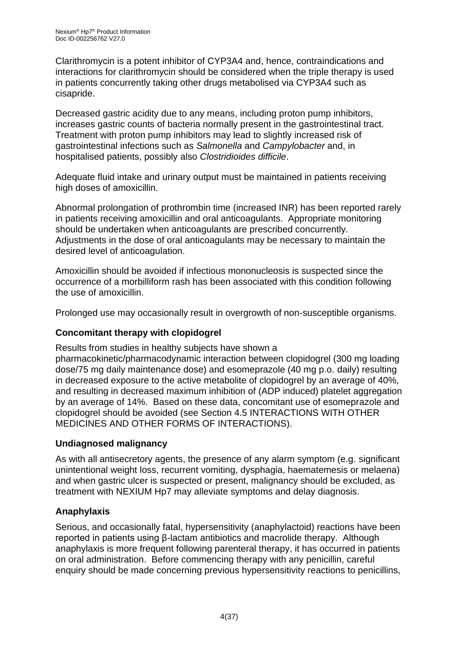Clarithromycin is a potent inhibitor of CYP3A4 and, hence, contraindications and interactions for clarithromycin should be considered when the triple therapy is used in patients concurrently taking other drugs metabolised via CYP3A4 such as cisapride.

Decreased gastric acidity due to any means, including proton pump inhibitors, increases gastric counts of bacteria normally present in the gastrointestinal tract. Treatment with proton pump inhibitors may lead to slightly increased risk of gastrointestinal infections such as *Salmonella* and *Campylobacter* and, in hospitalised patients, possibly also *Clostridioides difficile*.

Adequate fluid intake and urinary output must be maintained in patients receiving high doses of amoxicillin.

Abnormal prolongation of prothrombin time (increased INR) has been reported rarely in patients receiving amoxicillin and oral anticoagulants. Appropriate monitoring should be undertaken when anticoagulants are prescribed concurrently. Adjustments in the dose of oral anticoagulants may be necessary to maintain the desired level of anticoagulation.

Amoxicillin should be avoided if infectious mononucleosis is suspected since the occurrence of a morbilliform rash has been associated with this condition following the use of amoxicillin.

Prolonged use may occasionally result in overgrowth of non-susceptible organisms.

### **Concomitant therapy with clopidogrel**

Results from studies in healthy subjects have shown a pharmacokinetic/pharmacodynamic interaction between clopidogrel (300 mg loading dose/75 mg daily maintenance dose) and esomeprazole (40 mg p.o. daily) resulting in decreased exposure to the active metabolite of clopidogrel by an average of 40%, and resulting in decreased maximum inhibition of (ADP induced) platelet aggregation by an average of 14%. Based on these data, concomitant use of esomeprazole and clopidogrel should be avoided (see Section 4.5 INTERACTIONS WITH OTHER MEDICINES AND OTHER FORMS OF INTERACTIONS).

### **Undiagnosed malignancy**

As with all antisecretory agents, the presence of any alarm symptom (e.g. significant unintentional weight loss, recurrent vomiting, dysphagia, haematemesis or melaena) and when gastric ulcer is suspected or present, malignancy should be excluded, as treatment with NEXIUM Hp7 may alleviate symptoms and delay diagnosis.

# **Anaphylaxis**

Serious, and occasionally fatal, hypersensitivity (anaphylactoid) reactions have been reported in patients using β-lactam antibiotics and macrolide therapy. Although anaphylaxis is more frequent following parenteral therapy, it has occurred in patients on oral administration. Before commencing therapy with any penicillin, careful enquiry should be made concerning previous hypersensitivity reactions to penicillins,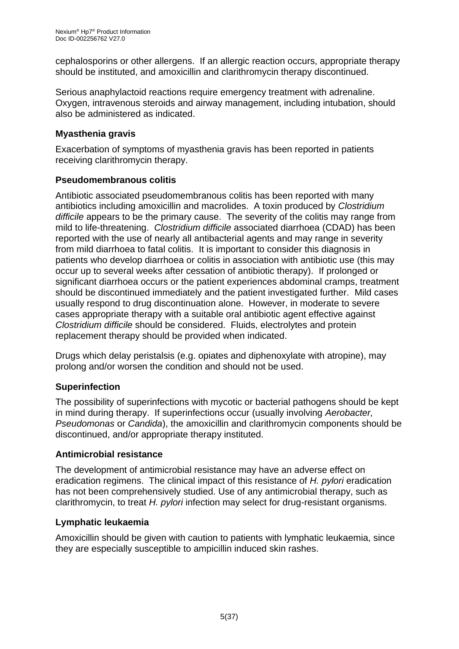cephalosporins or other allergens. If an allergic reaction occurs, appropriate therapy should be instituted, and amoxicillin and clarithromycin therapy discontinued.

Serious anaphylactoid reactions require emergency treatment with adrenaline. Oxygen, intravenous steroids and airway management, including intubation, should also be administered as indicated.

### **Myasthenia gravis**

Exacerbation of symptoms of myasthenia gravis has been reported in patients receiving clarithromycin therapy.

### **Pseudomembranous colitis**

Antibiotic associated pseudomembranous colitis has been reported with many antibiotics including amoxicillin and macrolides. A toxin produced by *Clostridium difficile* appears to be the primary cause. The severity of the colitis may range from mild to life-threatening. *Clostridium difficile* associated diarrhoea (CDAD) has been reported with the use of nearly all antibacterial agents and may range in severity from mild diarrhoea to fatal colitis. It is important to consider this diagnosis in patients who develop diarrhoea or colitis in association with antibiotic use (this may occur up to several weeks after cessation of antibiotic therapy). If prolonged or significant diarrhoea occurs or the patient experiences abdominal cramps, treatment should be discontinued immediately and the patient investigated further. Mild cases usually respond to drug discontinuation alone. However, in moderate to severe cases appropriate therapy with a suitable oral antibiotic agent effective against *Clostridium difficile* should be considered. Fluids, electrolytes and protein replacement therapy should be provided when indicated.

Drugs which delay peristalsis (e.g. opiates and diphenoxylate with atropine), may prolong and/or worsen the condition and should not be used.

# **Superinfection**

The possibility of superinfections with mycotic or bacterial pathogens should be kept in mind during therapy. If superinfections occur (usually involving *Aerobacter, Pseudomonas* or *Candida*), the amoxicillin and clarithromycin components should be discontinued, and/or appropriate therapy instituted.

### **Antimicrobial resistance**

The development of antimicrobial resistance may have an adverse effect on eradication regimens. The clinical impact of this resistance of *H. pylori* eradication has not been comprehensively studied. Use of any antimicrobial therapy, such as clarithromycin, to treat *H. pylori* infection may select for drug-resistant organisms.

### **Lymphatic leukaemia**

Amoxicillin should be given with caution to patients with lymphatic leukaemia, since they are especially susceptible to ampicillin induced skin rashes.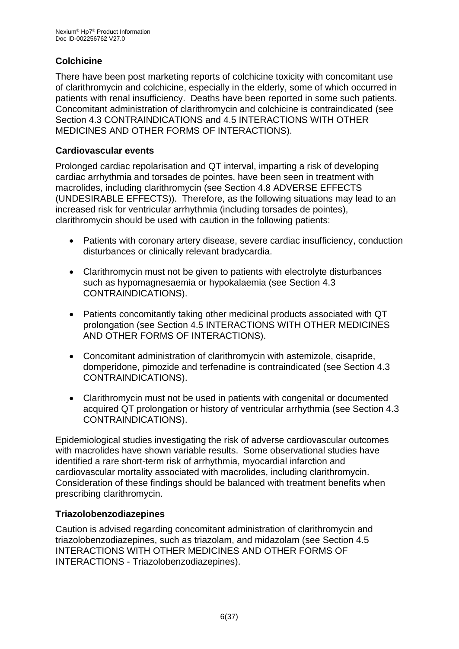# **Colchicine**

There have been post marketing reports of colchicine toxicity with concomitant use of clarithromycin and colchicine, especially in the elderly, some of which occurred in patients with renal insufficiency. Deaths have been reported in some such patients. Concomitant administration of clarithromycin and colchicine is contraindicated (see Section 4.3 CONTRAINDICATIONS and 4.5 INTERACTIONS WITH OTHER MEDICINES AND OTHER FORMS OF INTERACTIONS).

#### **Cardiovascular events**

Prolonged cardiac repolarisation and QT interval, imparting a risk of developing cardiac arrhythmia and torsades de pointes, have been seen in treatment with macrolides, including clarithromycin (see Section 4.8 ADVERSE EFFECTS (UNDESIRABLE EFFECTS)). Therefore, as the following situations may lead to an increased risk for ventricular arrhythmia (including torsades de pointes), clarithromycin should be used with caution in the following patients:

- Patients with coronary artery disease, severe cardiac insufficiency, conduction disturbances or clinically relevant bradycardia.
- Clarithromycin must not be given to patients with electrolyte disturbances such as hypomagnesaemia or hypokalaemia (see Section 4.3 CONTRAINDICATIONS).
- Patients concomitantly taking other medicinal products associated with QT prolongation (see Section 4.5 INTERACTIONS WITH OTHER MEDICINES AND OTHER FORMS OF INTERACTIONS).
- Concomitant administration of clarithromycin with astemizole, cisapride, domperidone, pimozide and terfenadine is contraindicated (see Section 4.3 CONTRAINDICATIONS).
- Clarithromycin must not be used in patients with congenital or documented acquired QT prolongation or history of ventricular arrhythmia (see Section 4.3 CONTRAINDICATIONS).

Epidemiological studies investigating the risk of adverse cardiovascular outcomes with macrolides have shown variable results. Some observational studies have identified a rare short-term risk of arrhythmia, myocardial infarction and cardiovascular mortality associated with macrolides, including clarithromycin. Consideration of these findings should be balanced with treatment benefits when prescribing clarithromycin.

### **Triazolobenzodiazepines**

Caution is advised regarding concomitant administration of clarithromycin and triazolobenzodiazepines, such as triazolam, and midazolam (see Section 4.5 INTERACTIONS WITH OTHER MEDICINES AND OTHER FORMS OF INTERACTIONS - Triazolobenzodiazepines).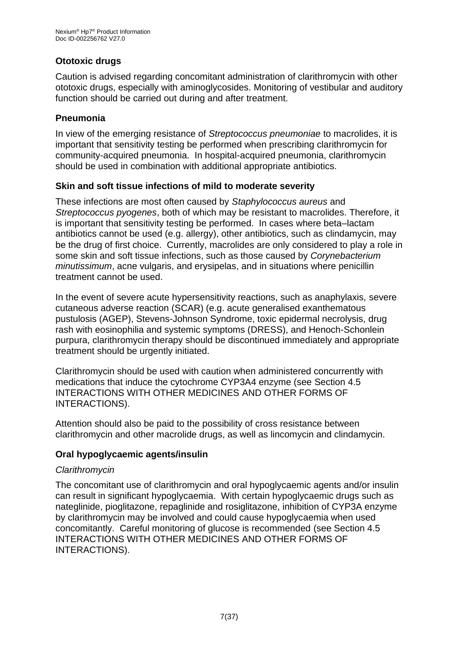### **Ototoxic drugs**

Caution is advised regarding concomitant administration of clarithromycin with other ototoxic drugs, especially with aminoglycosides. Monitoring of vestibular and auditory function should be carried out during and after treatment.

### **Pneumonia**

In view of the emerging resistance of *Streptococcus pneumoniae* to macrolides, it is important that sensitivity testing be performed when prescribing clarithromycin for community-acquired pneumonia. In hospital-acquired pneumonia, clarithromycin should be used in combination with additional appropriate antibiotics.

### **Skin and soft tissue infections of mild to moderate severity**

These infections are most often caused by *Staphylococcus aureus* and *Streptococcus pyogenes*, both of which may be resistant to macrolides. Therefore, it is important that sensitivity testing be performed. In cases where beta–lactam antibiotics cannot be used (e.g. allergy), other antibiotics, such as clindamycin, may be the drug of first choice. Currently, macrolides are only considered to play a role in some skin and soft tissue infections, such as those caused by *Corynebacterium minutissimum*, acne vulgaris, and erysipelas, and in situations where penicillin treatment cannot be used.

In the event of severe acute hypersensitivity reactions, such as anaphylaxis, severe cutaneous adverse reaction (SCAR) (e.g. acute generalised exanthematous pustulosis (AGEP), Stevens-Johnson Syndrome, toxic epidermal necrolysis, drug rash with eosinophilia and systemic symptoms (DRESS), and Henoch-Schonlein purpura, clarithromycin therapy should be discontinued immediately and appropriate treatment should be urgently initiated.

Clarithromycin should be used with caution when administered concurrently with medications that induce the cytochrome CYP3A4 enzyme (see Section 4.5 INTERACTIONS WITH OTHER MEDICINES AND OTHER FORMS OF INTERACTIONS).

Attention should also be paid to the possibility of cross resistance between clarithromycin and other macrolide drugs, as well as lincomycin and clindamycin.

### **Oral hypoglycaemic agents/insulin**

#### *Clarithromycin*

The concomitant use of clarithromycin and oral hypoglycaemic agents and/or insulin can result in significant hypoglycaemia. With certain hypoglycaemic drugs such as nateglinide, pioglitazone, repaglinide and rosiglitazone, inhibition of CYP3A enzyme by clarithromycin may be involved and could cause hypoglycaemia when used concomitantly. Careful monitoring of glucose is recommended (see Section 4.5 INTERACTIONS WITH OTHER MEDICINES AND OTHER FORMS OF INTERACTIONS).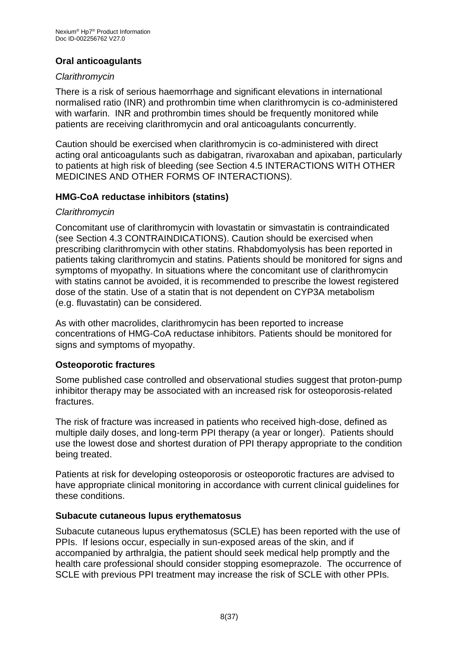# **Oral anticoagulants**

### *Clarithromycin*

There is a risk of serious haemorrhage and significant elevations in international normalised ratio (INR) and prothrombin time when clarithromycin is co-administered with warfarin. INR and prothrombin times should be frequently monitored while patients are receiving clarithromycin and oral anticoagulants concurrently.

Caution should be exercised when clarithromycin is co-administered with direct acting oral anticoagulants such as dabigatran, rivaroxaban and apixaban, particularly to patients at high risk of bleeding (see Section 4.5 INTERACTIONS WITH OTHER MEDICINES AND OTHER FORMS OF INTERACTIONS).

### **HMG-CoA reductase inhibitors (statins)**

#### *Clarithromycin*

Concomitant use of clarithromycin with lovastatin or simvastatin is contraindicated (see Section 4.3 CONTRAINDICATIONS). Caution should be exercised when prescribing clarithromycin with other statins. Rhabdomyolysis has been reported in patients taking clarithromycin and statins. Patients should be monitored for signs and symptoms of myopathy. In situations where the concomitant use of clarithromycin with statins cannot be avoided, it is recommended to prescribe the lowest registered dose of the statin. Use of a statin that is not dependent on CYP3A metabolism (e.g. fluvastatin) can be considered.

As with other macrolides, clarithromycin has been reported to increase concentrations of HMG-CoA reductase inhibitors. Patients should be monitored for signs and symptoms of myopathy.

### **Osteoporotic fractures**

Some published case controlled and observational studies suggest that proton-pump inhibitor therapy may be associated with an increased risk for osteoporosis-related fractures.

The risk of fracture was increased in patients who received high-dose, defined as multiple daily doses, and long-term PPI therapy (a year or longer). Patients should use the lowest dose and shortest duration of PPI therapy appropriate to the condition being treated.

Patients at risk for developing osteoporosis or osteoporotic fractures are advised to have appropriate clinical monitoring in accordance with current clinical guidelines for these conditions.

#### **Subacute cutaneous lupus erythematosus**

Subacute cutaneous lupus erythematosus (SCLE) has been reported with the use of PPIs. If lesions occur, especially in sun-exposed areas of the skin, and if accompanied by arthralgia, the patient should seek medical help promptly and the health care professional should consider stopping esomeprazole. The occurrence of SCLE with previous PPI treatment may increase the risk of SCLE with other PPIs.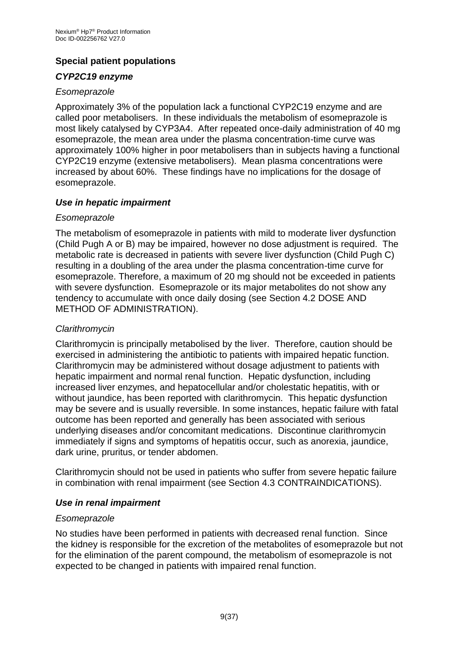# **Special patient populations**

### *CYP2C19 enzyme*

#### *Esomeprazole*

Approximately 3% of the population lack a functional CYP2C19 enzyme and are called poor metabolisers. In these individuals the metabolism of esomeprazole is most likely catalysed by CYP3A4. After repeated once-daily administration of 40 mg esomeprazole, the mean area under the plasma concentration-time curve was approximately 100% higher in poor metabolisers than in subjects having a functional CYP2C19 enzyme (extensive metabolisers). Mean plasma concentrations were increased by about 60%. These findings have no implications for the dosage of esomeprazole.

#### *Use in hepatic impairment*

#### *Esomeprazole*

The metabolism of esomeprazole in patients with mild to moderate liver dysfunction (Child Pugh A or B) may be impaired, however no dose adjustment is required. The metabolic rate is decreased in patients with severe liver dysfunction (Child Pugh C) resulting in a doubling of the area under the plasma concentration-time curve for esomeprazole. Therefore, a maximum of 20 mg should not be exceeded in patients with severe dysfunction. Esomeprazole or its major metabolites do not show any tendency to accumulate with once daily dosing (see Section 4.2 DOSE AND METHOD OF ADMINISTRATION).

### *Clarithromycin*

Clarithromycin is principally metabolised by the liver. Therefore, caution should be exercised in administering the antibiotic to patients with impaired hepatic function. Clarithromycin may be administered without dosage adjustment to patients with hepatic impairment and normal renal function. Hepatic dysfunction, including increased liver enzymes, and hepatocellular and/or cholestatic hepatitis, with or without jaundice, has been reported with clarithromycin. This hepatic dysfunction may be severe and is usually reversible. In some instances, hepatic failure with fatal outcome has been reported and generally has been associated with serious underlying diseases and/or concomitant medications. Discontinue clarithromycin immediately if signs and symptoms of hepatitis occur, such as anorexia, jaundice, dark urine, pruritus, or tender abdomen.

Clarithromycin should not be used in patients who suffer from severe hepatic failure in combination with renal impairment (see Section 4.3 CONTRAINDICATIONS).

### *Use in renal impairment*

#### *Esomeprazole*

No studies have been performed in patients with decreased renal function. Since the kidney is responsible for the excretion of the metabolites of esomeprazole but not for the elimination of the parent compound, the metabolism of esomeprazole is not expected to be changed in patients with impaired renal function.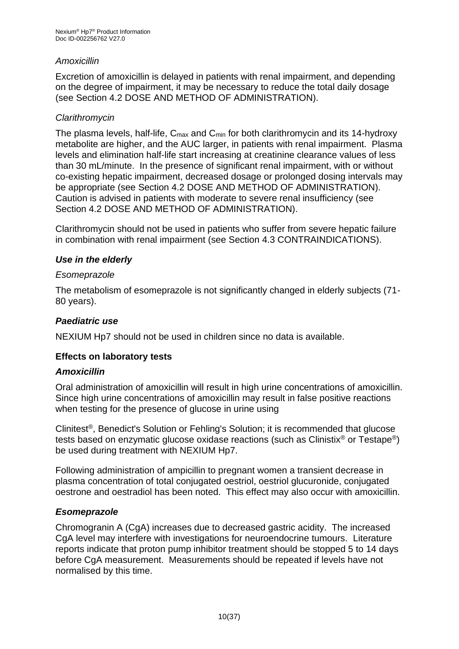### *Amoxicillin*

Excretion of amoxicillin is delayed in patients with renal impairment, and depending on the degree of impairment, it may be necessary to reduce the total daily dosage (see Section 4.2 DOSE AND METHOD OF ADMINISTRATION).

### *Clarithromycin*

The plasma levels, half-life,  $C_{\text{max}}$  and  $C_{\text{min}}$  for both clarithromycin and its 14-hydroxy metabolite are higher, and the AUC larger, in patients with renal impairment. Plasma levels and elimination half-life start increasing at creatinine clearance values of less than 30 mL/minute. In the presence of significant renal impairment, with or without co-existing hepatic impairment, decreased dosage or prolonged dosing intervals may be appropriate (see Section 4.2 DOSE AND METHOD OF ADMINISTRATION). Caution is advised in patients with moderate to severe renal insufficiency (see Section 4.2 DOSE AND METHOD OF ADMINISTRATION).

Clarithromycin should not be used in patients who suffer from severe hepatic failure in combination with renal impairment (see Section 4.3 CONTRAINDICATIONS).

### *Use in the elderly*

#### *Esomeprazole*

The metabolism of esomeprazole is not significantly changed in elderly subjects (71- 80 years).

### *Paediatric use*

NEXIUM Hp7 should not be used in children since no data is available.

### **Effects on laboratory tests**

### *Amoxicillin*

Oral administration of amoxicillin will result in high urine concentrations of amoxicillin. Since high urine concentrations of amoxicillin may result in false positive reactions when testing for the presence of glucose in urine using

Clinitest®, Benedict's Solution or Fehling's Solution; it is recommended that glucose tests based on enzymatic glucose oxidase reactions (such as Clinistix® or Testape®) be used during treatment with NEXIUM Hp7.

Following administration of ampicillin to pregnant women a transient decrease in plasma concentration of total conjugated oestriol, oestriol glucuronide, conjugated oestrone and oestradiol has been noted. This effect may also occur with amoxicillin.

### *Esomeprazole*

Chromogranin A (CgA) increases due to decreased gastric acidity. The increased CgA level may interfere with investigations for neuroendocrine tumours. Literature reports indicate that proton pump inhibitor treatment should be stopped 5 to 14 days before CgA measurement. Measurements should be repeated if levels have not normalised by this time.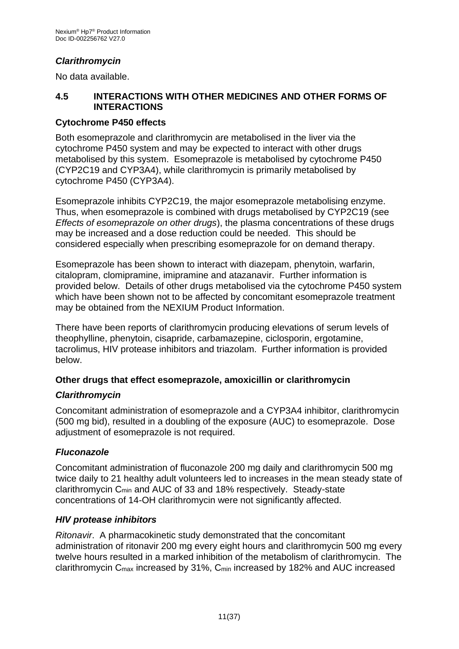# *Clarithromycin*

No data available.

### **4.5 INTERACTIONS WITH OTHER MEDICINES AND OTHER FORMS OF INTERACTIONS**

#### **Cytochrome P450 effects**

Both esomeprazole and clarithromycin are metabolised in the liver via the cytochrome P450 system and may be expected to interact with other drugs metabolised by this system. Esomeprazole is metabolised by cytochrome P450 (CYP2C19 and CYP3A4), while clarithromycin is primarily metabolised by cytochrome P450 (CYP3A4).

Esomeprazole inhibits CYP2C19, the major esomeprazole metabolising enzyme. Thus, when esomeprazole is combined with drugs metabolised by CYP2C19 (see *Effects of esomeprazole on other drugs*), the plasma concentrations of these drugs may be increased and a dose reduction could be needed. This should be considered especially when prescribing esomeprazole for on demand therapy.

Esomeprazole has been shown to interact with diazepam, phenytoin, warfarin, citalopram, clomipramine, imipramine and atazanavir. Further information is provided below. Details of other drugs metabolised via the cytochrome P450 system which have been shown not to be affected by concomitant esomeprazole treatment may be obtained from the NEXIUM Product Information.

There have been reports of clarithromycin producing elevations of serum levels of theophylline, phenytoin, cisapride, carbamazepine, ciclosporin, ergotamine, tacrolimus, HIV protease inhibitors and triazolam. Further information is provided below.

### **Other drugs that effect esomeprazole, amoxicillin or clarithromycin**

### *Clarithromycin*

Concomitant administration of esomeprazole and a CYP3A4 inhibitor, clarithromycin (500 mg bid), resulted in a doubling of the exposure (AUC) to esomeprazole. Dose adjustment of esomeprazole is not required.

### *Fluconazole*

Concomitant administration of fluconazole 200 mg daily and clarithromycin 500 mg twice daily to 21 healthy adult volunteers led to increases in the mean steady state of clarithromycin Cmin and AUC of 33 and 18% respectively. Steady-state concentrations of 14-OH clarithromycin were not significantly affected.

#### *HIV protease inhibitors*

*Ritonavir*. A pharmacokinetic study demonstrated that the concomitant administration of ritonavir 200 mg every eight hours and clarithromycin 500 mg every twelve hours resulted in a marked inhibition of the metabolism of clarithromycin. The clarithromycin Cmax increased by 31%, Cmin increased by 182% and AUC increased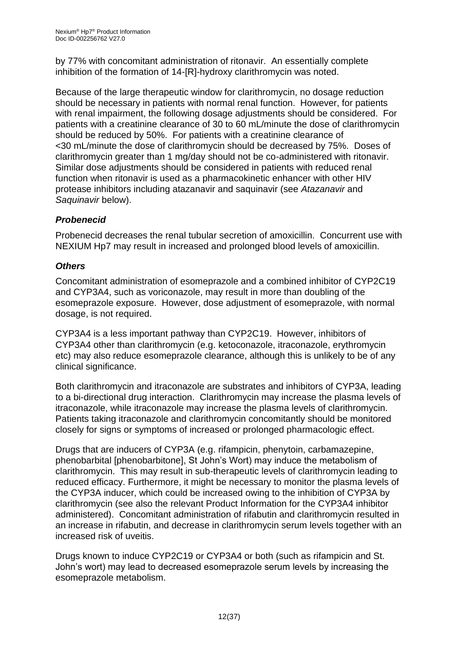by 77% with concomitant administration of ritonavir. An essentially complete inhibition of the formation of 14-[R]-hydroxy clarithromycin was noted.

Because of the large therapeutic window for clarithromycin, no dosage reduction should be necessary in patients with normal renal function. However, for patients with renal impairment, the following dosage adjustments should be considered. For patients with a creatinine clearance of 30 to 60 mL/minute the dose of clarithromycin should be reduced by 50%. For patients with a creatinine clearance of <30 mL/minute the dose of clarithromycin should be decreased by 75%. Doses of clarithromycin greater than 1 mg/day should not be co-administered with ritonavir. Similar dose adjustments should be considered in patients with reduced renal function when ritonavir is used as a pharmacokinetic enhancer with other HIV protease inhibitors including atazanavir and saquinavir (see *Atazanavir* and *Saquinavir* below).

### *Probenecid*

Probenecid decreases the renal tubular secretion of amoxicillin. Concurrent use with NEXIUM Hp7 may result in increased and prolonged blood levels of amoxicillin.

### *Others*

Concomitant administration of esomeprazole and a combined inhibitor of CYP2C19 and CYP3A4, such as voriconazole, may result in more than doubling of the esomeprazole exposure. However, dose adjustment of esomeprazole, with normal dosage, is not required.

CYP3A4 is a less important pathway than CYP2C19. However, inhibitors of CYP3A4 other than clarithromycin (e.g. ketoconazole, itraconazole, erythromycin etc) may also reduce esomeprazole clearance, although this is unlikely to be of any clinical significance.

Both clarithromycin and itraconazole are substrates and inhibitors of CYP3A, leading to a bi-directional drug interaction. Clarithromycin may increase the plasma levels of itraconazole, while itraconazole may increase the plasma levels of clarithromycin. Patients taking itraconazole and clarithromycin concomitantly should be monitored closely for signs or symptoms of increased or prolonged pharmacologic effect.

Drugs that are inducers of CYP3A (e.g. rifampicin, phenytoin, carbamazepine, phenobarbital [phenobarbitone], St John's Wort) may induce the metabolism of clarithromycin. This may result in sub-therapeutic levels of clarithromycin leading to reduced efficacy. Furthermore, it might be necessary to monitor the plasma levels of the CYP3A inducer, which could be increased owing to the inhibition of CYP3A by clarithromycin (see also the relevant Product Information for the CYP3A4 inhibitor administered). Concomitant administration of rifabutin and clarithromycin resulted in an increase in rifabutin, and decrease in clarithromycin serum levels together with an increased risk of uveitis.

Drugs known to induce CYP2C19 or CYP3A4 or both (such as rifampicin and St. John's wort) may lead to decreased esomeprazole serum levels by increasing the esomeprazole metabolism.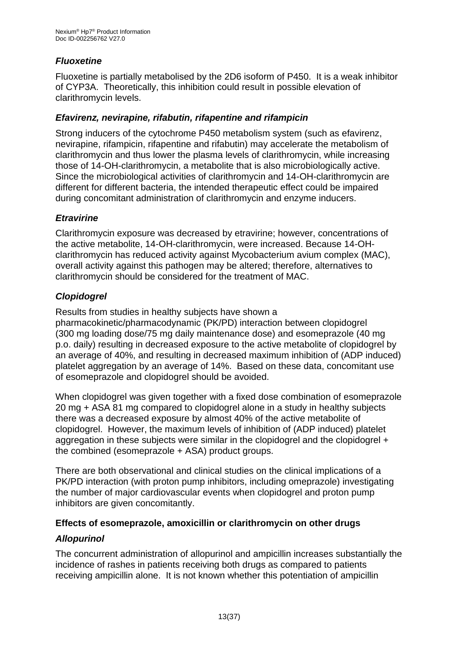# *Fluoxetine*

Fluoxetine is partially metabolised by the 2D6 isoform of P450. It is a weak inhibitor of CYP3A. Theoretically, this inhibition could result in possible elevation of clarithromycin levels.

# *Efavirenz, nevirapine, rifabutin, rifapentine and rifampicin*

Strong inducers of the cytochrome P450 metabolism system (such as efavirenz, nevirapine, rifampicin, rifapentine and rifabutin) may accelerate the metabolism of clarithromycin and thus lower the plasma levels of clarithromycin, while increasing those of 14-OH-clarithromycin, a metabolite that is also microbiologically active. Since the microbiological activities of clarithromycin and 14-OH-clarithromycin are different for different bacteria, the intended therapeutic effect could be impaired during concomitant administration of clarithromycin and enzyme inducers.

# *Etravirine*

Clarithromycin exposure was decreased by etravirine; however, concentrations of the active metabolite, 14-OH-clarithromycin, were increased. Because 14-OHclarithromycin has reduced activity against Mycobacterium avium complex (MAC), overall activity against this pathogen may be altered; therefore, alternatives to clarithromycin should be considered for the treatment of MAC.

# *Clopidogrel*

Results from studies in healthy subjects have shown a

pharmacokinetic/pharmacodynamic (PK/PD) interaction between clopidogrel (300 mg loading dose/75 mg daily maintenance dose) and esomeprazole (40 mg p.o. daily) resulting in decreased exposure to the active metabolite of clopidogrel by an average of 40%, and resulting in decreased maximum inhibition of (ADP induced) platelet aggregation by an average of 14%. Based on these data, concomitant use of esomeprazole and clopidogrel should be avoided.

When clopidogrel was given together with a fixed dose combination of esomeprazole 20 mg + ASA 81 mg compared to clopidogrel alone in a study in healthy subjects there was a decreased exposure by almost 40% of the active metabolite of clopidogrel. However, the maximum levels of inhibition of (ADP induced) platelet aggregation in these subjects were similar in the clopidogrel and the clopidogrel + the combined (esomeprazole + ASA) product groups.

There are both observational and clinical studies on the clinical implications of a PK/PD interaction (with proton pump inhibitors, including omeprazole) investigating the number of major cardiovascular events when clopidogrel and proton pump inhibitors are given concomitantly.

### **Effects of esomeprazole, amoxicillin or clarithromycin on other drugs**

### *Allopurinol*

The concurrent administration of allopurinol and ampicillin increases substantially the incidence of rashes in patients receiving both drugs as compared to patients receiving ampicillin alone. It is not known whether this potentiation of ampicillin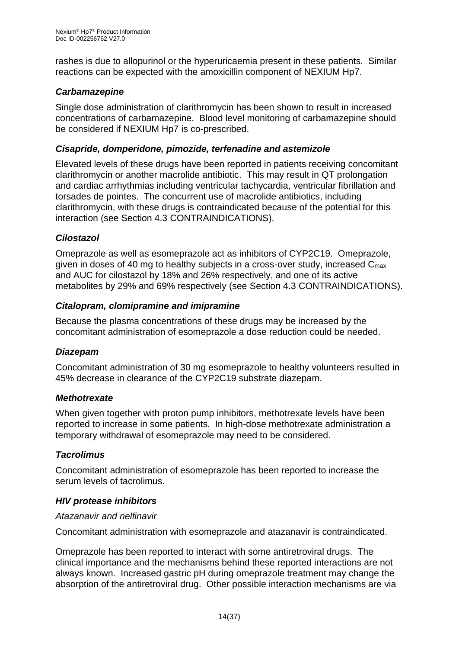rashes is due to allopurinol or the hyperuricaemia present in these patients. Similar reactions can be expected with the amoxicillin component of NEXIUM Hp7.

### *Carbamazepine*

Single dose administration of clarithromycin has been shown to result in increased concentrations of carbamazepine. Blood level monitoring of carbamazepine should be considered if NEXIUM Hp7 is co-prescribed.

### *Cisapride, domperidone, pimozide, terfenadine and astemizole*

Elevated levels of these drugs have been reported in patients receiving concomitant clarithromycin or another macrolide antibiotic. This may result in QT prolongation and cardiac arrhythmias including ventricular tachycardia, ventricular fibrillation and torsades de pointes. The concurrent use of macrolide antibiotics, including clarithromycin, with these drugs is contraindicated because of the potential for this interaction (see Section 4.3 CONTRAINDICATIONS).

### *Cilostazol*

Omeprazole as well as esomeprazole act as inhibitors of CYP2C19. Omeprazole, given in doses of 40 mg to healthy subjects in a cross-over study, increased Cmax and AUC for cilostazol by 18% and 26% respectively, and one of its active metabolites by 29% and 69% respectively (see Section 4.3 CONTRAINDICATIONS).

#### *Citalopram, clomipramine and imipramine*

Because the plasma concentrations of these drugs may be increased by the concomitant administration of esomeprazole a dose reduction could be needed.

#### *Diazepam*

Concomitant administration of 30 mg esomeprazole to healthy volunteers resulted in 45% decrease in clearance of the CYP2C19 substrate diazepam.

#### *Methotrexate*

When given together with proton pump inhibitors, methotrexate levels have been reported to increase in some patients. In high-dose methotrexate administration a temporary withdrawal of esomeprazole may need to be considered.

### *Tacrolimus*

Concomitant administration of esomeprazole has been reported to increase the serum levels of tacrolimus.

#### *HIV protease inhibitors*

#### *Atazanavir and nelfinavir*

Concomitant administration with esomeprazole and atazanavir is contraindicated.

Omeprazole has been reported to interact with some antiretroviral drugs. The clinical importance and the mechanisms behind these reported interactions are not always known. Increased gastric pH during omeprazole treatment may change the absorption of the antiretroviral drug. Other possible interaction mechanisms are via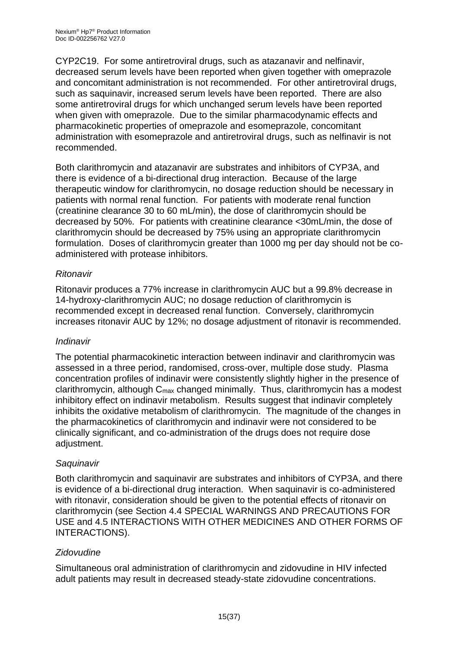CYP2C19. For some antiretroviral drugs, such as atazanavir and nelfinavir, decreased serum levels have been reported when given together with omeprazole and concomitant administration is not recommended. For other antiretroviral drugs, such as saquinavir, increased serum levels have been reported. There are also some antiretroviral drugs for which unchanged serum levels have been reported when given with omeprazole. Due to the similar pharmacodynamic effects and pharmacokinetic properties of omeprazole and esomeprazole, concomitant administration with esomeprazole and antiretroviral drugs, such as nelfinavir is not recommended.

Both clarithromycin and atazanavir are substrates and inhibitors of CYP3A, and there is evidence of a bi-directional drug interaction. Because of the large therapeutic window for clarithromycin, no dosage reduction should be necessary in patients with normal renal function. For patients with moderate renal function (creatinine clearance 30 to 60 mL/min), the dose of clarithromycin should be decreased by 50%. For patients with creatinine clearance <30mL/min, the dose of clarithromycin should be decreased by 75% using an appropriate clarithromycin formulation. Doses of clarithromycin greater than 1000 mg per day should not be coadministered with protease inhibitors.

### *Ritonavir*

Ritonavir produces a 77% increase in clarithromycin AUC but a 99.8% decrease in 14-hydroxy-clarithromycin AUC; no dosage reduction of clarithromycin is recommended except in decreased renal function. Conversely, clarithromycin increases ritonavir AUC by 12%; no dosage adjustment of ritonavir is recommended.

### *Indinavir*

The potential pharmacokinetic interaction between indinavir and clarithromycin was assessed in a three period, randomised, cross-over, multiple dose study. Plasma concentration profiles of indinavir were consistently slightly higher in the presence of clarithromycin, although Cmax changed minimally. Thus, clarithromycin has a modest inhibitory effect on indinavir metabolism. Results suggest that indinavir completely inhibits the oxidative metabolism of clarithromycin. The magnitude of the changes in the pharmacokinetics of clarithromycin and indinavir were not considered to be clinically significant, and co-administration of the drugs does not require dose adiustment.

### *Saquinavir*

Both clarithromycin and saquinavir are substrates and inhibitors of CYP3A, and there is evidence of a bi-directional drug interaction. When saquinavir is co-administered with ritonavir, consideration should be given to the potential effects of ritonavir on clarithromycin (see Section 4.4 SPECIAL WARNINGS AND PRECAUTIONS FOR USE and 4.5 INTERACTIONS WITH OTHER MEDICINES AND OTHER FORMS OF INTERACTIONS).

### *Zidovudine*

Simultaneous oral administration of clarithromycin and zidovudine in HIV infected adult patients may result in decreased steady-state zidovudine concentrations.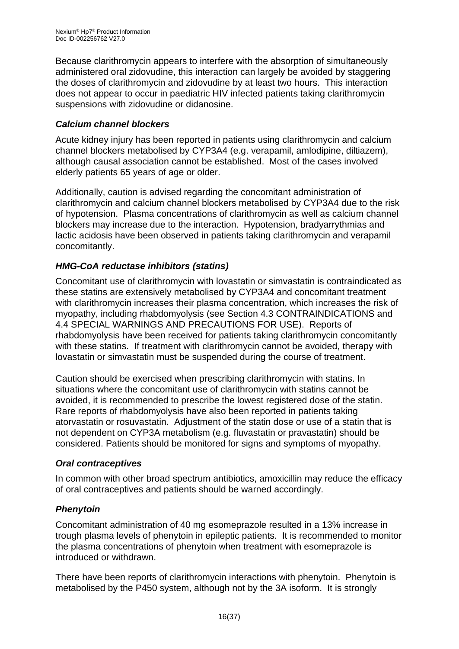Because clarithromycin appears to interfere with the absorption of simultaneously administered oral zidovudine, this interaction can largely be avoided by staggering the doses of clarithromycin and zidovudine by at least two hours. This interaction does not appear to occur in paediatric HIV infected patients taking clarithromycin suspensions with zidovudine or didanosine.

### *Calcium channel blockers*

Acute kidney injury has been reported in patients using clarithromycin and calcium channel blockers metabolised by CYP3A4 (e.g. verapamil, amlodipine, diltiazem), although causal association cannot be established. Most of the cases involved elderly patients 65 years of age or older.

Additionally, caution is advised regarding the concomitant administration of clarithromycin and calcium channel blockers metabolised by CYP3A4 due to the risk of hypotension. Plasma concentrations of clarithromycin as well as calcium channel blockers may increase due to the interaction. Hypotension, bradyarrythmias and lactic acidosis have been observed in patients taking clarithromycin and verapamil concomitantly.

### *HMG-CoA reductase inhibitors (statins)*

Concomitant use of clarithromycin with lovastatin or simvastatin is contraindicated as these statins are extensively metabolised by CYP3A4 and concomitant treatment with clarithromycin increases their plasma concentration, which increases the risk of myopathy, including rhabdomyolysis (see Section 4.3 CONTRAINDICATIONS and 4.4 SPECIAL WARNINGS AND PRECAUTIONS FOR USE). Reports of rhabdomyolysis have been received for patients taking clarithromycin concomitantly with these statins. If treatment with clarithromycin cannot be avoided, therapy with lovastatin or simvastatin must be suspended during the course of treatment.

Caution should be exercised when prescribing clarithromycin with statins. In situations where the concomitant use of clarithromycin with statins cannot be avoided, it is recommended to prescribe the lowest registered dose of the statin. Rare reports of rhabdomyolysis have also been reported in patients taking atorvastatin or rosuvastatin. Adjustment of the statin dose or use of a statin that is not dependent on CYP3A metabolism (e.g. fluvastatin or pravastatin) should be considered. Patients should be monitored for signs and symptoms of myopathy.

### *Oral contraceptives*

In common with other broad spectrum antibiotics, amoxicillin may reduce the efficacy of oral contraceptives and patients should be warned accordingly.

### *Phenytoin*

Concomitant administration of 40 mg esomeprazole resulted in a 13% increase in trough plasma levels of phenytoin in epileptic patients. It is recommended to monitor the plasma concentrations of phenytoin when treatment with esomeprazole is introduced or withdrawn.

There have been reports of clarithromycin interactions with phenytoin. Phenytoin is metabolised by the P450 system, although not by the 3A isoform. It is strongly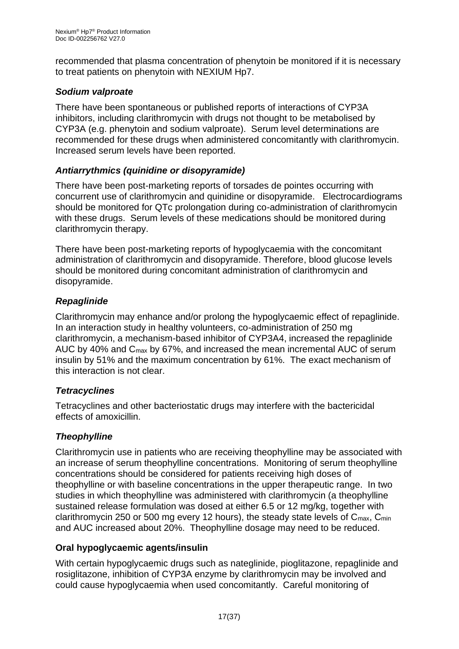recommended that plasma concentration of phenytoin be monitored if it is necessary to treat patients on phenytoin with NEXIUM Hp7.

### *Sodium valproate*

There have been spontaneous or published reports of interactions of CYP3A inhibitors, including clarithromycin with drugs not thought to be metabolised by CYP3A (e.g. phenytoin and sodium valproate). Serum level determinations are recommended for these drugs when administered concomitantly with clarithromycin. Increased serum levels have been reported.

### *Antiarrythmics (quinidine or disopyramide)*

There have been post-marketing reports of torsades de pointes occurring with concurrent use of clarithromycin and quinidine or disopyramide. Electrocardiograms should be monitored for QTc prolongation during co-administration of clarithromycin with these drugs. Serum levels of these medications should be monitored during clarithromycin therapy.

There have been post-marketing reports of hypoglycaemia with the concomitant administration of clarithromycin and disopyramide. Therefore, blood glucose levels should be monitored during concomitant administration of clarithromycin and disopyramide.

### *Repaglinide*

Clarithromycin may enhance and/or prolong the hypoglycaemic effect of repaglinide. In an interaction study in healthy volunteers, co-administration of 250 mg clarithromycin, a mechanism-based inhibitor of CYP3A4, increased the repaglinide AUC by 40% and Cmax by 67%, and increased the mean incremental AUC of serum insulin by 51% and the maximum concentration by 61%. The exact mechanism of this interaction is not clear.

### *Tetracyclines*

Tetracyclines and other bacteriostatic drugs may interfere with the bactericidal effects of amoxicillin.

### *Theophylline*

Clarithromycin use in patients who are receiving theophylline may be associated with an increase of serum theophylline concentrations. Monitoring of serum theophylline concentrations should be considered for patients receiving high doses of theophylline or with baseline concentrations in the upper therapeutic range. In two studies in which theophylline was administered with clarithromycin (a theophylline sustained release formulation was dosed at either 6.5 or 12 mg/kg, together with clarithromycin 250 or 500 mg every 12 hours), the steady state levels of  $C_{\text{max}}$ ,  $C_{\text{min}}$ and AUC increased about 20%. Theophylline dosage may need to be reduced.

# **Oral hypoglycaemic agents/insulin**

With certain hypoglycaemic drugs such as nateglinide, pioglitazone, repaglinide and rosiglitazone, inhibition of CYP3A enzyme by clarithromycin may be involved and could cause hypoglycaemia when used concomitantly. Careful monitoring of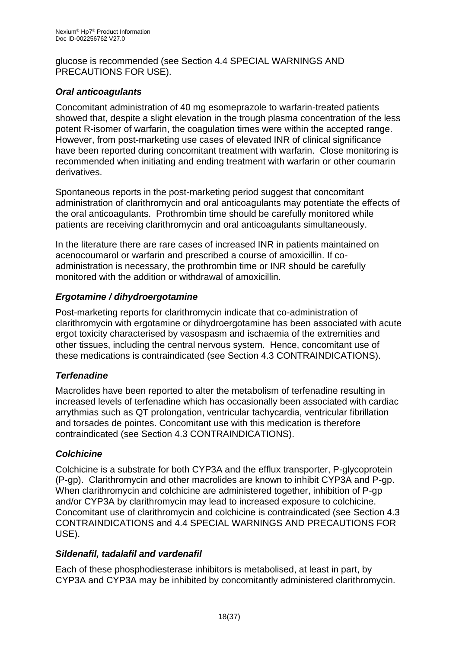glucose is recommended (see Section 4.4 SPECIAL WARNINGS AND PRECAUTIONS FOR USE).

### *Oral anticoagulants*

Concomitant administration of 40 mg esomeprazole to warfarin-treated patients showed that, despite a slight elevation in the trough plasma concentration of the less potent R-isomer of warfarin, the coagulation times were within the accepted range. However, from post-marketing use cases of elevated INR of clinical significance have been reported during concomitant treatment with warfarin. Close monitoring is recommended when initiating and ending treatment with warfarin or other coumarin derivatives.

Spontaneous reports in the post-marketing period suggest that concomitant administration of clarithromycin and oral anticoagulants may potentiate the effects of the oral anticoagulants. Prothrombin time should be carefully monitored while patients are receiving clarithromycin and oral anticoagulants simultaneously.

In the literature there are rare cases of increased INR in patients maintained on acenocoumarol or warfarin and prescribed a course of amoxicillin. If coadministration is necessary, the prothrombin time or INR should be carefully monitored with the addition or withdrawal of amoxicillin.

### *Ergotamine / dihydroergotamine*

Post-marketing reports for clarithromycin indicate that co-administration of clarithromycin with ergotamine or dihydroergotamine has been associated with acute ergot toxicity characterised by vasospasm and ischaemia of the extremities and other tissues, including the central nervous system. Hence, concomitant use of these medications is contraindicated (see Section 4.3 CONTRAINDICATIONS).

### *Terfenadine*

Macrolides have been reported to alter the metabolism of terfenadine resulting in increased levels of terfenadine which has occasionally been associated with cardiac arrythmias such as QT prolongation, ventricular tachycardia, ventricular fibrillation and torsades de pointes. Concomitant use with this medication is therefore contraindicated (see Section 4.3 CONTRAINDICATIONS).

### *Colchicine*

Colchicine is a substrate for both CYP3A and the efflux transporter, P-glycoprotein (P-gp). Clarithromycin and other macrolides are known to inhibit CYP3A and P-gp. When clarithromycin and colchicine are administered together, inhibition of P-gp and/or CYP3A by clarithromycin may lead to increased exposure to colchicine. Concomitant use of clarithromycin and colchicine is contraindicated (see Section 4.3 CONTRAINDICATIONS and 4.4 SPECIAL WARNINGS AND PRECAUTIONS FOR USE).

### *Sildenafil, tadalafil and vardenafil*

Each of these phosphodiesterase inhibitors is metabolised, at least in part, by CYP3A and CYP3A may be inhibited by concomitantly administered clarithromycin.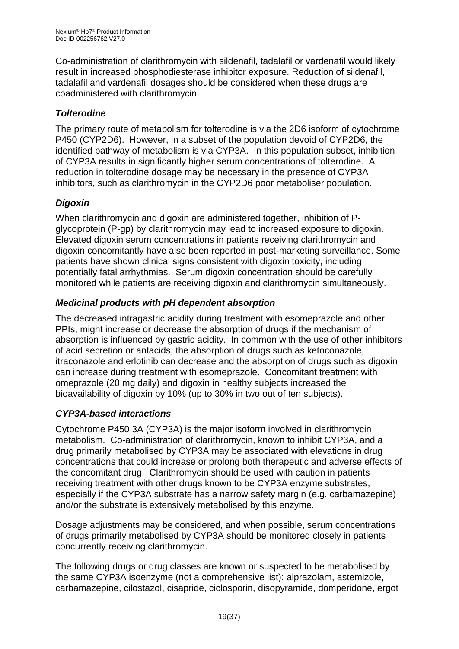Co-administration of clarithromycin with sildenafil, tadalafil or vardenafil would likely result in increased phosphodiesterase inhibitor exposure. Reduction of sildenafil, tadalafil and vardenafil dosages should be considered when these drugs are coadministered with clarithromycin.

# *Tolterodine*

The primary route of metabolism for tolterodine is via the 2D6 isoform of cytochrome P450 (CYP2D6). However, in a subset of the population devoid of CYP2D6, the identified pathway of metabolism is via CYP3A. In this population subset, inhibition of CYP3A results in significantly higher serum concentrations of tolterodine. A reduction in tolterodine dosage may be necessary in the presence of CYP3A inhibitors, such as clarithromycin in the CYP2D6 poor metaboliser population.

# *Digoxin*

When clarithromycin and digoxin are administered together, inhibition of Pglycoprotein (P-gp) by clarithromycin may lead to increased exposure to digoxin. Elevated digoxin serum concentrations in patients receiving clarithromycin and digoxin concomitantly have also been reported in post-marketing surveillance. Some patients have shown clinical signs consistent with digoxin toxicity, including potentially fatal arrhythmias. Serum digoxin concentration should be carefully monitored while patients are receiving digoxin and clarithromycin simultaneously.

# *Medicinal products with pH dependent absorption*

The decreased intragastric acidity during treatment with esomeprazole and other PPIs, might increase or decrease the absorption of drugs if the mechanism of absorption is influenced by gastric acidity. In common with the use of other inhibitors of acid secretion or antacids, the absorption of drugs such as ketoconazole, itraconazole and erlotinib can decrease and the absorption of drugs such as digoxin can increase during treatment with esomeprazole. Concomitant treatment with omeprazole (20 mg daily) and digoxin in healthy subjects increased the bioavailability of digoxin by 10% (up to 30% in two out of ten subjects).

# *CYP3A-based interactions*

Cytochrome P450 3A (CYP3A) is the major isoform involved in clarithromycin metabolism. Co-administration of clarithromycin, known to inhibit CYP3A, and a drug primarily metabolised by CYP3A may be associated with elevations in drug concentrations that could increase or prolong both therapeutic and adverse effects of the concomitant drug. Clarithromycin should be used with caution in patients receiving treatment with other drugs known to be CYP3A enzyme substrates, especially if the CYP3A substrate has a narrow safety margin (e.g. carbamazepine) and/or the substrate is extensively metabolised by this enzyme.

Dosage adjustments may be considered, and when possible, serum concentrations of drugs primarily metabolised by CYP3A should be monitored closely in patients concurrently receiving clarithromycin.

The following drugs or drug classes are known or suspected to be metabolised by the same CYP3A isoenzyme (not a comprehensive list): alprazolam, astemizole, carbamazepine, cilostazol, cisapride, ciclosporin, disopyramide, domperidone, ergot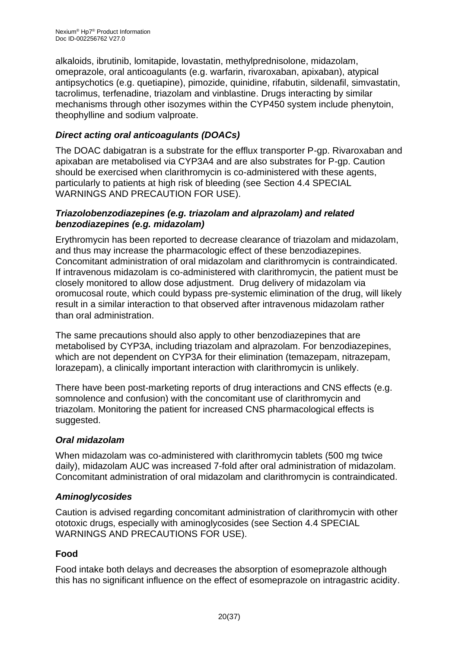alkaloids, ibrutinib, lomitapide, lovastatin, methylprednisolone, midazolam, omeprazole, oral anticoagulants (e.g. warfarin, rivaroxaban, apixaban), atypical antipsychotics (e.g. quetiapine), pimozide, quinidine, rifabutin, sildenafil, simvastatin, tacrolimus, terfenadine, triazolam and vinblastine. Drugs interacting by similar mechanisms through other isozymes within the CYP450 system include phenytoin, theophylline and sodium valproate.

# *Direct acting oral anticoagulants (DOACs)*

The DOAC dabigatran is a substrate for the efflux transporter P-gp. Rivaroxaban and apixaban are metabolised via CYP3A4 and are also substrates for P-gp. Caution should be exercised when clarithromycin is co-administered with these agents, particularly to patients at high risk of bleeding (see Section 4.4 SPECIAL WARNINGS AND PRECAUTION FOR USE).

#### *Triazolobenzodiazepines (e.g. triazolam and alprazolam) and related benzodiazepines (e.g. midazolam)*

Erythromycin has been reported to decrease clearance of triazolam and midazolam, and thus may increase the pharmacologic effect of these benzodiazepines. Concomitant administration of oral midazolam and clarithromycin is contraindicated. If intravenous midazolam is co-administered with clarithromycin, the patient must be closely monitored to allow dose adjustment. Drug delivery of midazolam via oromucosal route, which could bypass pre-systemic elimination of the drug, will likely result in a similar interaction to that observed after intravenous midazolam rather than oral administration.

The same precautions should also apply to other benzodiazepines that are metabolised by CYP3A, including triazolam and alprazolam. For benzodiazepines, which are not dependent on CYP3A for their elimination (temazepam, nitrazepam, lorazepam), a clinically important interaction with clarithromycin is unlikely.

There have been post-marketing reports of drug interactions and CNS effects (e.g. somnolence and confusion) with the concomitant use of clarithromycin and triazolam. Monitoring the patient for increased CNS pharmacological effects is suggested.

# *Oral midazolam*

When midazolam was co-administered with clarithromycin tablets (500 mg twice daily), midazolam AUC was increased 7-fold after oral administration of midazolam. Concomitant administration of oral midazolam and clarithromycin is contraindicated.

### *Aminoglycosides*

Caution is advised regarding concomitant administration of clarithromycin with other ototoxic drugs, especially with aminoglycosides (see Section 4.4 SPECIAL WARNINGS AND PRECAUTIONS FOR USE).

# **Food**

Food intake both delays and decreases the absorption of esomeprazole although this has no significant influence on the effect of esomeprazole on intragastric acidity.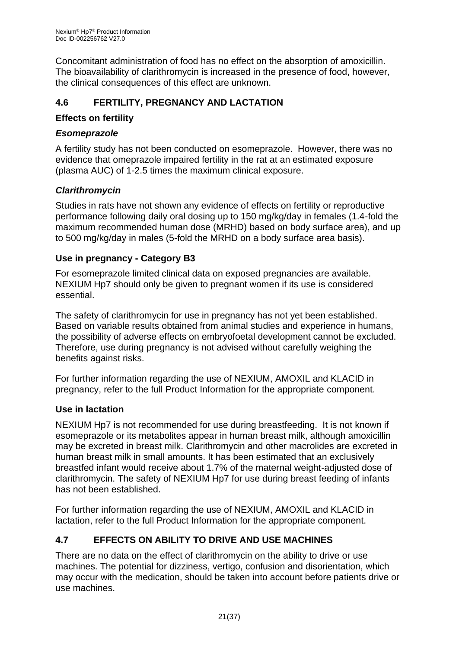Concomitant administration of food has no effect on the absorption of amoxicillin. The bioavailability of clarithromycin is increased in the presence of food, however, the clinical consequences of this effect are unknown.

# **4.6 FERTILITY, PREGNANCY AND LACTATION**

### **Effects on fertility**

### *Esomeprazole*

A fertility study has not been conducted on esomeprazole. However, there was no evidence that omeprazole impaired fertility in the rat at an estimated exposure (plasma AUC) of 1-2.5 times the maximum clinical exposure.

#### *Clarithromycin*

Studies in rats have not shown any evidence of effects on fertility or reproductive performance following daily oral dosing up to 150 mg/kg/day in females (1.4-fold the maximum recommended human dose (MRHD) based on body surface area), and up to 500 mg/kg/day in males (5-fold the MRHD on a body surface area basis).

#### **Use in pregnancy - Category B3**

For esomeprazole limited clinical data on exposed pregnancies are available. NEXIUM Hp7 should only be given to pregnant women if its use is considered essential.

The safety of clarithromycin for use in pregnancy has not yet been established. Based on variable results obtained from animal studies and experience in humans, the possibility of adverse effects on embryofoetal development cannot be excluded. Therefore, use during pregnancy is not advised without carefully weighing the benefits against risks.

For further information regarding the use of NEXIUM, AMOXIL and KLACID in pregnancy, refer to the full Product Information for the appropriate component.

### **Use in lactation**

NEXIUM Hp7 is not recommended for use during breastfeeding. It is not known if esomeprazole or its metabolites appear in human breast milk, although amoxicillin may be excreted in breast milk. Clarithromycin and other macrolides are excreted in human breast milk in small amounts. It has been estimated that an exclusively breastfed infant would receive about 1.7% of the maternal weight-adjusted dose of clarithromycin. The safety of NEXIUM Hp7 for use during breast feeding of infants has not been established.

For further information regarding the use of NEXIUM, AMOXIL and KLACID in lactation, refer to the full Product Information for the appropriate component.

# **4.7 EFFECTS ON ABILITY TO DRIVE AND USE MACHINES**

There are no data on the effect of clarithromycin on the ability to drive or use machines. The potential for dizziness, vertigo, confusion and disorientation, which may occur with the medication, should be taken into account before patients drive or use machines.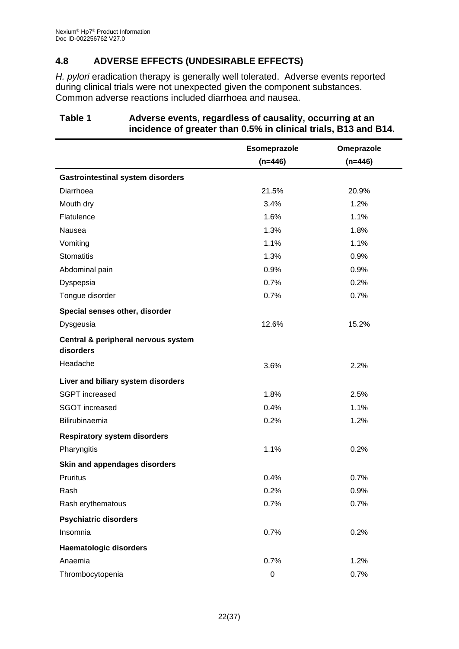# **4.8 ADVERSE EFFECTS (UNDESIRABLE EFFECTS)**

*H. pylori* eradication therapy is generally well tolerated. Adverse events reported during clinical trials were not unexpected given the component substances. Common adverse reactions included diarrhoea and nausea.

|                                                  | Esomeprazole | Omeprazole |
|--------------------------------------------------|--------------|------------|
|                                                  | $(n=446)$    | $(n=446)$  |
| <b>Gastrointestinal system disorders</b>         |              |            |
| Diarrhoea                                        | 21.5%        | 20.9%      |
| Mouth dry                                        | 3.4%         | 1.2%       |
| Flatulence                                       | 1.6%         | 1.1%       |
| Nausea                                           | 1.3%         | 1.8%       |
| Vomiting                                         | 1.1%         | 1.1%       |
| <b>Stomatitis</b>                                | 1.3%         | 0.9%       |
| Abdominal pain                                   | 0.9%         | 0.9%       |
| Dyspepsia                                        | 0.7%         | 0.2%       |
| Tongue disorder                                  | 0.7%         | 0.7%       |
| Special senses other, disorder                   |              |            |
| Dysgeusia                                        | 12.6%        | 15.2%      |
| Central & peripheral nervous system<br>disorders |              |            |
| Headache                                         | 3.6%         | 2.2%       |
| Liver and biliary system disorders               |              |            |
| <b>SGPT</b> increased                            | 1.8%         | 2.5%       |
| <b>SGOT</b> increased                            | 0.4%<br>1.1% |            |
| Bilirubinaemia                                   | 0.2%         | 1.2%       |
| <b>Respiratory system disorders</b>              |              |            |
| Pharyngitis                                      | 1.1%         | 0.2%       |
| Skin and appendages disorders                    |              |            |
| <b>Pruritus</b>                                  | 0.4%         | 0.7%       |
| Rash                                             | 0.2%         | 0.9%       |
| Rash erythematous                                | 0.7%         | 0.7%       |
| <b>Psychiatric disorders</b>                     |              |            |
| Insomnia                                         | 0.7%         | 0.2%       |
| <b>Haematologic disorders</b>                    |              |            |
| Anaemia                                          | 0.7%         | 1.2%       |
| Thrombocytopenia                                 | $\mathbf 0$  | 0.7%       |

#### **Table 1 Adverse events, regardless of causality, occurring at an incidence of greater than 0.5% in clinical trials, B13 and B14.**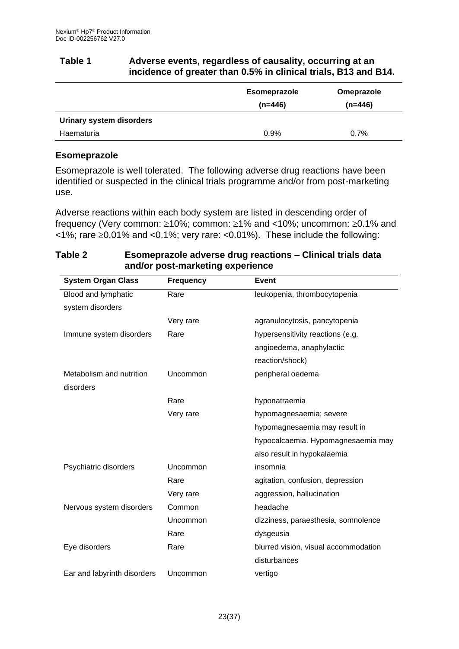#### **Table 1 Adverse events, regardless of causality, occurring at an incidence of greater than 0.5% in clinical trials, B13 and B14.**

|                          | <b>Esomeprazole</b><br>$(n=446)$ | Omeprazole<br>$(n=446)$ |
|--------------------------|----------------------------------|-------------------------|
| Urinary system disorders |                                  |                         |
| Haematuria               | 0.9%                             | 0.7%                    |

### **Esomeprazole**

Esomeprazole is well tolerated. The following adverse drug reactions have been identified or suspected in the clinical trials programme and/or from post-marketing use.

Adverse reactions within each body system are listed in descending order of frequency (Very common:  $\geq 10\%$ ; common:  $\geq 1\%$  and <10%; uncommon:  $\geq 0.1\%$  and  $\langle 1\% \rangle$ ; rare  $\geq 0.01\%$  and  $\langle 0.1\% \rangle$ ; very rare:  $\langle 0.01\% \rangle$ . These include the following:

| and/or post-marketing experience |                  |                                      |
|----------------------------------|------------------|--------------------------------------|
| <b>System Organ Class</b>        | <b>Frequency</b> | <b>Event</b>                         |
| Blood and lymphatic              | Rare             | leukopenia, thrombocytopenia         |
| system disorders                 |                  |                                      |
|                                  | Very rare        | agranulocytosis, pancytopenia        |
| Immune system disorders          | Rare             | hypersensitivity reactions (e.g.     |
|                                  |                  | angioedema, anaphylactic             |
|                                  |                  | reaction/shock)                      |
| Metabolism and nutrition         | Uncommon         | peripheral oedema                    |
| disorders                        |                  |                                      |
|                                  | Rare             | hyponatraemia                        |
|                                  | Very rare        | hypomagnesaemia; severe              |
|                                  |                  | hypomagnesaemia may result in        |
|                                  |                  | hypocalcaemia. Hypomagnesaemia may   |
|                                  |                  | also result in hypokalaemia          |
| Psychiatric disorders            | Uncommon         | insomnia                             |
|                                  | Rare             | agitation, confusion, depression     |
|                                  | Very rare        | aggression, hallucination            |
| Nervous system disorders         | Common           | headache                             |
|                                  | Uncommon         | dizziness, paraesthesia, somnolence  |
|                                  | Rare             | dysgeusia                            |
| Eye disorders                    | Rare             | blurred vision, visual accommodation |
|                                  |                  | disturbances                         |
| Ear and labyrinth disorders      | Uncommon         | vertigo                              |

#### **Table 2 Esomeprazole adverse drug reactions – Clinical trials data and/or post-marketing experience**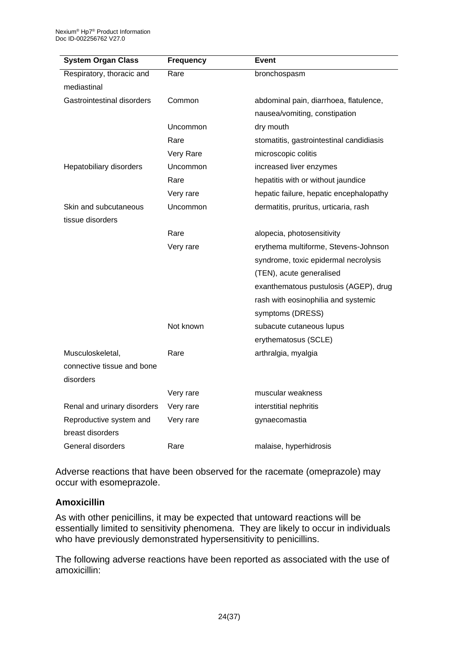| <b>System Organ Class</b>   | <b>Frequency</b> | Event                                    |
|-----------------------------|------------------|------------------------------------------|
| Respiratory, thoracic and   | Rare             | bronchospasm                             |
| mediastinal                 |                  |                                          |
| Gastrointestinal disorders  | Common           | abdominal pain, diarrhoea, flatulence,   |
|                             |                  | nausea/vomiting, constipation            |
|                             | Uncommon         | dry mouth                                |
|                             | Rare             | stomatitis, gastrointestinal candidiasis |
|                             | Very Rare        | microscopic colitis                      |
| Hepatobiliary disorders     | Uncommon         | increased liver enzymes                  |
|                             | Rare             | hepatitis with or without jaundice       |
|                             | Very rare        | hepatic failure, hepatic encephalopathy  |
| Skin and subcutaneous       | Uncommon         | dermatitis, pruritus, urticaria, rash    |
| tissue disorders            |                  |                                          |
|                             | Rare             | alopecia, photosensitivity               |
|                             | Very rare        | erythema multiforme, Stevens-Johnson     |
|                             |                  | syndrome, toxic epidermal necrolysis     |
|                             |                  | (TEN), acute generalised                 |
|                             |                  | exanthematous pustulosis (AGEP), drug    |
|                             |                  | rash with eosinophilia and systemic      |
|                             |                  | symptoms (DRESS)                         |
|                             | Not known        | subacute cutaneous lupus                 |
|                             |                  | erythematosus (SCLE)                     |
| Musculoskeletal,            | Rare             | arthralgia, myalgia                      |
| connective tissue and bone  |                  |                                          |
| disorders                   |                  |                                          |
|                             | Very rare        | muscular weakness                        |
| Renal and urinary disorders | Very rare        | interstitial nephritis                   |
| Reproductive system and     | Very rare        | gynaecomastia                            |
| breast disorders            |                  |                                          |
| General disorders           | Rare             | malaise, hyperhidrosis                   |

Adverse reactions that have been observed for the racemate (omeprazole) may occur with esomeprazole.

### **Amoxicillin**

As with other penicillins, it may be expected that untoward reactions will be essentially limited to sensitivity phenomena. They are likely to occur in individuals who have previously demonstrated hypersensitivity to penicillins.

The following adverse reactions have been reported as associated with the use of amoxicillin: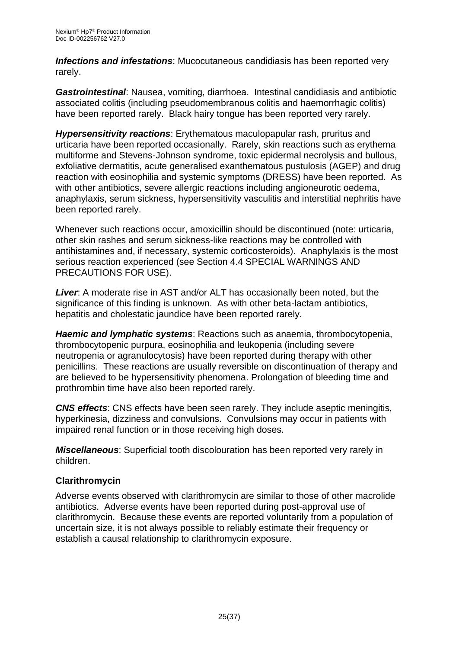*Infections and infestations*: Mucocutaneous candidiasis has been reported very rarely.

*Gastrointestinal*: Nausea, vomiting, diarrhoea. Intestinal candidiasis and antibiotic associated colitis (including pseudomembranous colitis and haemorrhagic colitis) have been reported rarely. Black hairy tongue has been reported very rarely.

*Hypersensitivity reactions*: Erythematous maculopapular rash, pruritus and urticaria have been reported occasionally. Rarely, skin reactions such as erythema multiforme and Stevens-Johnson syndrome, toxic epidermal necrolysis and bullous, exfoliative dermatitis, acute generalised exanthematous pustulosis (AGEP) and drug reaction with eosinophilia and systemic symptoms (DRESS) have been reported. As with other antibiotics, severe allergic reactions including angioneurotic oedema, anaphylaxis, serum sickness, hypersensitivity vasculitis and interstitial nephritis have been reported rarely.

Whenever such reactions occur, amoxicillin should be discontinued (note: urticaria, other skin rashes and serum sickness-like reactions may be controlled with antihistamines and, if necessary, systemic corticosteroids). Anaphylaxis is the most serious reaction experienced (see Section 4.4 SPECIAL WARNINGS AND PRECAUTIONS FOR USE).

*Liver*: A moderate rise in AST and/or ALT has occasionally been noted, but the significance of this finding is unknown. As with other beta-lactam antibiotics, hepatitis and cholestatic jaundice have been reported rarely.

*Haemic and lymphatic systems*: Reactions such as anaemia, thrombocytopenia, thrombocytopenic purpura, eosinophilia and leukopenia (including severe neutropenia or agranulocytosis) have been reported during therapy with other penicillins. These reactions are usually reversible on discontinuation of therapy and are believed to be hypersensitivity phenomena. Prolongation of bleeding time and prothrombin time have also been reported rarely.

*CNS effects*: CNS effects have been seen rarely. They include aseptic meningitis, hyperkinesia, dizziness and convulsions. Convulsions may occur in patients with impaired renal function or in those receiving high doses.

*Miscellaneous*: Superficial tooth discolouration has been reported very rarely in children.

# **Clarithromycin**

Adverse events observed with clarithromycin are similar to those of other macrolide antibiotics. Adverse events have been reported during post-approval use of clarithromycin. Because these events are reported voluntarily from a population of uncertain size, it is not always possible to reliably estimate their frequency or establish a causal relationship to clarithromycin exposure.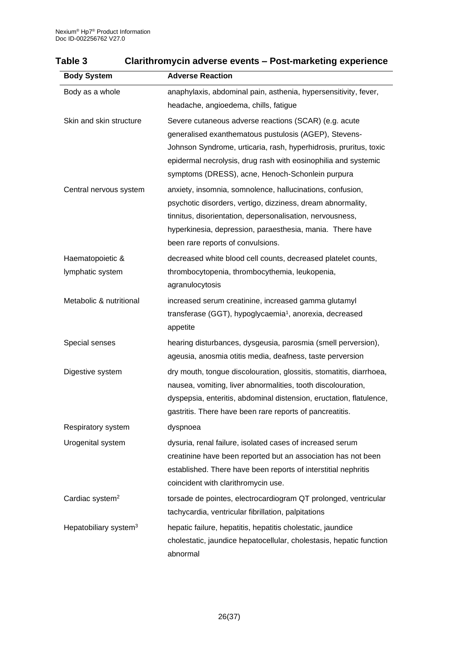| <b>Body System</b>                   | <b>Adverse Reaction</b>                                                                                                                                                                                                                                                                                   |
|--------------------------------------|-----------------------------------------------------------------------------------------------------------------------------------------------------------------------------------------------------------------------------------------------------------------------------------------------------------|
| Body as a whole                      | anaphylaxis, abdominal pain, asthenia, hypersensitivity, fever,<br>headache, angioedema, chills, fatigue                                                                                                                                                                                                  |
| Skin and skin structure              | Severe cutaneous adverse reactions (SCAR) (e.g. acute<br>generalised exanthematous pustulosis (AGEP), Stevens-<br>Johnson Syndrome, urticaria, rash, hyperhidrosis, pruritus, toxic<br>epidermal necrolysis, drug rash with eosinophilia and systemic<br>symptoms (DRESS), acne, Henoch-Schonlein purpura |
| Central nervous system               | anxiety, insomnia, somnolence, hallucinations, confusion,<br>psychotic disorders, vertigo, dizziness, dream abnormality,<br>tinnitus, disorientation, depersonalisation, nervousness,<br>hyperkinesia, depression, paraesthesia, mania. There have<br>been rare reports of convulsions.                   |
| Haematopoietic &<br>lymphatic system | decreased white blood cell counts, decreased platelet counts,<br>thrombocytopenia, thrombocythemia, leukopenia,<br>agranulocytosis                                                                                                                                                                        |
| Metabolic & nutritional              | increased serum creatinine, increased gamma glutamyl<br>transferase (GGT), hypoglycaemia <sup>1</sup> , anorexia, decreased<br>appetite                                                                                                                                                                   |
| Special senses                       | hearing disturbances, dysgeusia, parosmia (smell perversion),<br>ageusia, anosmia otitis media, deafness, taste perversion                                                                                                                                                                                |
| Digestive system                     | dry mouth, tongue discolouration, glossitis, stomatitis, diarrhoea,<br>nausea, vomiting, liver abnormalities, tooth discolouration,<br>dyspepsia, enteritis, abdominal distension, eructation, flatulence,<br>gastritis. There have been rare reports of pancreatitis.                                    |
| Respiratory system                   | dyspnoea                                                                                                                                                                                                                                                                                                  |
| Urogenital system                    | dysuria, renal failure, isolated cases of increased serum<br>creatinine have been reported but an association has not been<br>established. There have been reports of interstitial nephritis<br>coincident with clarithromycin use.                                                                       |
| Cardiac system <sup>2</sup>          | torsade de pointes, electrocardiogram QT prolonged, ventricular<br>tachycardia, ventricular fibrillation, palpitations                                                                                                                                                                                    |
| Hepatobiliary system <sup>3</sup>    | hepatic failure, hepatitis, hepatitis cholestatic, jaundice<br>cholestatic, jaundice hepatocellular, cholestasis, hepatic function<br>abnormal                                                                                                                                                            |

# **Table 3 Clarithromycin adverse events – Post-marketing experience**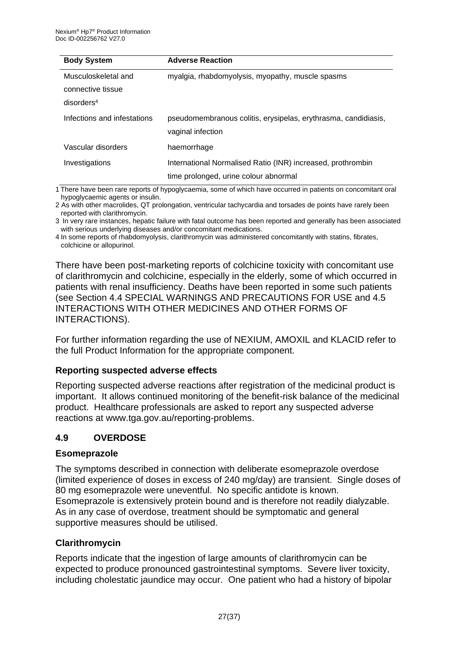| <b>Body System</b>          | <b>Adverse Reaction</b>                                                             |
|-----------------------------|-------------------------------------------------------------------------------------|
| Musculoskeletal and         | myalgia, rhabdomyolysis, myopathy, muscle spasms                                    |
| connective tissue           |                                                                                     |
| disorders <sup>4</sup>      |                                                                                     |
| Infections and infestations | pseudomembranous colitis, erysipelas, erythrasma, candidiasis,<br>vaginal infection |
| Vascular disorders          | haemorrhage                                                                         |
| Investigations              | International Normalised Ratio (INR) increased, prothrombin                         |
|                             | time prolonged, urine colour abnormal                                               |

1 There have been rare reports of hypoglycaemia, some of which have occurred in patients on concomitant oral hypoglycaemic agents or insulin.

2 As with other macrolides, QT prolongation, ventricular tachycardia and torsades de points have rarely been reported with clarithromycin.

3 In very rare instances, hepatic failure with fatal outcome has been reported and generally has been associated with serious underlying diseases and/or concomitant medications.

4 In some reports of rhabdomyolysis, clarithromycin was administered concomitantly with statins, fibrates, colchicine or allopurinol.

There have been post-marketing reports of colchicine toxicity with concomitant use of clarithromycin and colchicine, especially in the elderly, some of which occurred in patients with renal insufficiency. Deaths have been reported in some such patients (see Section 4.4 SPECIAL WARNINGS AND PRECAUTIONS FOR USE and 4.5 INTERACTIONS WITH OTHER MEDICINES AND OTHER FORMS OF INTERACTIONS).

For further information regarding the use of NEXIUM, AMOXIL and KLACID refer to the full Product Information for the appropriate component.

### **Reporting suspected adverse effects**

Reporting suspected adverse reactions after registration of the medicinal product is important. It allows continued monitoring of the benefit-risk balance of the medicinal product. Healthcare professionals are asked to report any suspected adverse reactions at www.tga.gov.au/reporting-problems.

#### **4.9 OVERDOSE**

#### **Esomeprazole**

The symptoms described in connection with deliberate esomeprazole overdose (limited experience of doses in excess of 240 mg/day) are transient. Single doses of 80 mg esomeprazole were uneventful. No specific antidote is known. Esomeprazole is extensively protein bound and is therefore not readily dialyzable. As in any case of overdose, treatment should be symptomatic and general supportive measures should be utilised.

#### **Clarithromycin**

Reports indicate that the ingestion of large amounts of clarithromycin can be expected to produce pronounced gastrointestinal symptoms. Severe liver toxicity, including cholestatic jaundice may occur. One patient who had a history of bipolar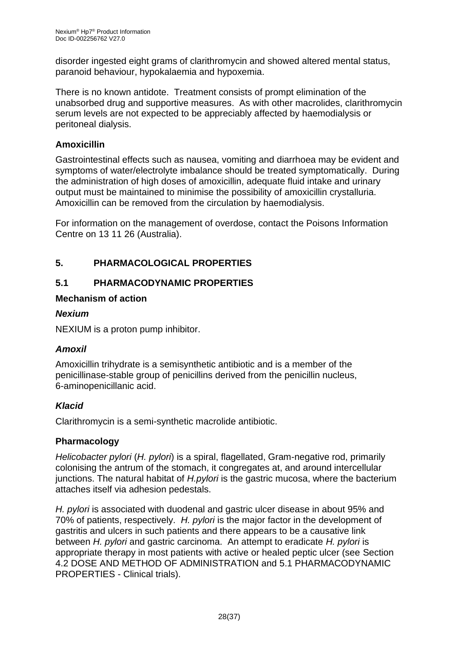disorder ingested eight grams of clarithromycin and showed altered mental status, paranoid behaviour, hypokalaemia and hypoxemia.

There is no known antidote. Treatment consists of prompt elimination of the unabsorbed drug and supportive measures. As with other macrolides, clarithromycin serum levels are not expected to be appreciably affected by haemodialysis or peritoneal dialysis.

### **Amoxicillin**

Gastrointestinal effects such as nausea, vomiting and diarrhoea may be evident and symptoms of water/electrolyte imbalance should be treated symptomatically. During the administration of high doses of amoxicillin, adequate fluid intake and urinary output must be maintained to minimise the possibility of amoxicillin crystalluria. Amoxicillin can be removed from the circulation by haemodialysis.

For information on the management of overdose, contact the Poisons Information Centre on 13 11 26 (Australia).

# **5. PHARMACOLOGICAL PROPERTIES**

# **5.1 PHARMACODYNAMIC PROPERTIES**

### **Mechanism of action**

#### *Nexium*

NEXIUM is a proton pump inhibitor.

### *Amoxil*

Amoxicillin trihydrate is a semisynthetic antibiotic and is a member of the penicillinase-stable group of penicillins derived from the penicillin nucleus, 6-aminopenicillanic acid.

### *Klacid*

Clarithromycin is a semi-synthetic macrolide antibiotic.

### **Pharmacology**

*Helicobacter pylori* (*H. pylori*) is a spiral, flagellated, Gram-negative rod, primarily colonising the antrum of the stomach, it congregates at, and around intercellular junctions. The natural habitat of *H.pylori* is the gastric mucosa, where the bacterium attaches itself via adhesion pedestals.

*H. pylori* is associated with duodenal and gastric ulcer disease in about 95% and 70% of patients, respectively. *H. pylori* is the major factor in the development of gastritis and ulcers in such patients and there appears to be a causative link between *H. pylori* and gastric carcinoma. An attempt to eradicate *H. pylori* is appropriate therapy in most patients with active or healed peptic ulcer (see Section 4.2 DOSE AND METHOD OF ADMINISTRATION and 5.1 PHARMACODYNAMIC PROPERTIES - Clinical trials).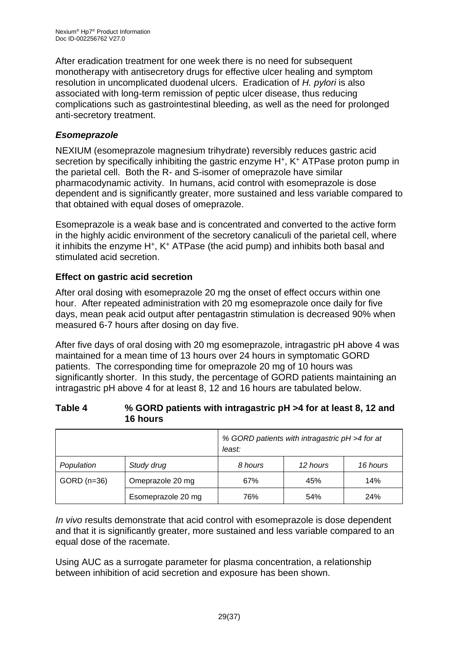After eradication treatment for one week there is no need for subsequent monotherapy with antisecretory drugs for effective ulcer healing and symptom resolution in uncomplicated duodenal ulcers. Eradication of *H. pylori* is also associated with long-term remission of peptic ulcer disease, thus reducing complications such as gastrointestinal bleeding, as well as the need for prolonged anti-secretory treatment.

# *Esomeprazole*

NEXIUM (esomeprazole magnesium trihydrate) reversibly reduces gastric acid secretion by specifically inhibiting the gastric enzyme H<sup>+</sup>, K<sup>+</sup> ATPase proton pump in the parietal cell. Both the R- and S-isomer of omeprazole have similar pharmacodynamic activity. In humans, acid control with esomeprazole is dose dependent and is significantly greater, more sustained and less variable compared to that obtained with equal doses of omeprazole.

Esomeprazole is a weak base and is concentrated and converted to the active form in the highly acidic environment of the secretory canaliculi of the parietal cell, where it inhibits the enzyme H<sup>+</sup>, K<sup>+</sup> ATPase (the acid pump) and inhibits both basal and stimulated acid secretion.

# **Effect on gastric acid secretion**

After oral dosing with esomeprazole 20 mg the onset of effect occurs within one hour. After repeated administration with 20 mg esomeprazole once daily for five days, mean peak acid output after pentagastrin stimulation is decreased 90% when measured 6-7 hours after dosing on day five.

After five days of oral dosing with 20 mg esomeprazole, intragastric pH above 4 was maintained for a mean time of 13 hours over 24 hours in symptomatic GORD patients. The corresponding time for omeprazole 20 mg of 10 hours was significantly shorter. In this study, the percentage of GORD patients maintaining an intragastric pH above 4 for at least 8, 12 and 16 hours are tabulated below.

#### **Table 4 % GORD patients with intragastric pH >4 for at least 8, 12 and 16 hours**

|               |                    | % GORD patients with intragastric pH >4 for at<br>least: |          |            |
|---------------|--------------------|----------------------------------------------------------|----------|------------|
| Population    | Study drug         | 8 hours                                                  | 12 hours | 16 hours   |
| $GORD$ (n=36) | Omeprazole 20 mg   | 67%                                                      | 45%      | 14%        |
|               | Esomeprazole 20 mg | 76%                                                      | 54%      | <b>24%</b> |

*In vivo* results demonstrate that acid control with esomeprazole is dose dependent and that it is significantly greater, more sustained and less variable compared to an equal dose of the racemate.

Using AUC as a surrogate parameter for plasma concentration, a relationship between inhibition of acid secretion and exposure has been shown.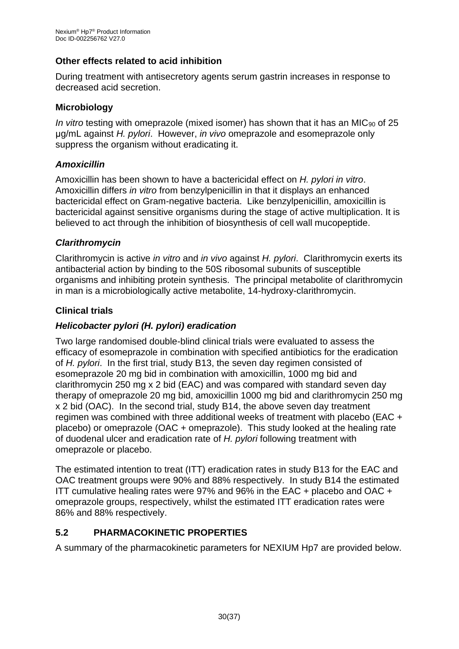### **Other effects related to acid inhibition**

During treatment with antisecretory agents serum gastrin increases in response to decreased acid secretion.

### **Microbiology**

*In vitro* testing with omeprazole (mixed isomer) has shown that it has an MIC<sub>90</sub> of 25 μg/mL against *H. pylori*. However, *in vivo* omeprazole and esomeprazole only suppress the organism without eradicating it.

### *Amoxicillin*

Amoxicillin has been shown to have a bactericidal effect on *H. pylori in vitro*. Amoxicillin differs *in vitro* from benzylpenicillin in that it displays an enhanced bactericidal effect on Gram-negative bacteria. Like benzylpenicillin, amoxicillin is bactericidal against sensitive organisms during the stage of active multiplication. It is believed to act through the inhibition of biosynthesis of cell wall mucopeptide.

### *Clarithromycin*

Clarithromycin is active *in vitro* and *in vivo* against *H. pylori*. Clarithromycin exerts its antibacterial action by binding to the 50S ribosomal subunits of susceptible organisms and inhibiting protein synthesis. The principal metabolite of clarithromycin in man is a microbiologically active metabolite, 14-hydroxy-clarithromycin.

### **Clinical trials**

### *Helicobacter pylori (H. pylori) eradication*

Two large randomised double-blind clinical trials were evaluated to assess the efficacy of esomeprazole in combination with specified antibiotics for the eradication of *H. pylori*. In the first trial, study B13, the seven day regimen consisted of esomeprazole 20 mg bid in combination with amoxicillin, 1000 mg bid and clarithromycin 250 mg x 2 bid (EAC) and was compared with standard seven day therapy of omeprazole 20 mg bid, amoxicillin 1000 mg bid and clarithromycin 250 mg x 2 bid (OAC). In the second trial, study B14, the above seven day treatment regimen was combined with three additional weeks of treatment with placebo (EAC + placebo) or omeprazole (OAC + omeprazole). This study looked at the healing rate of duodenal ulcer and eradication rate of *H. pylori* following treatment with omeprazole or placebo.

The estimated intention to treat (ITT) eradication rates in study B13 for the EAC and OAC treatment groups were 90% and 88% respectively. In study B14 the estimated ITT cumulative healing rates were 97% and 96% in the EAC + placebo and OAC + omeprazole groups, respectively, whilst the estimated ITT eradication rates were 86% and 88% respectively.

# **5.2 PHARMACOKINETIC PROPERTIES**

A summary of the pharmacokinetic parameters for NEXIUM Hp7 are provided below.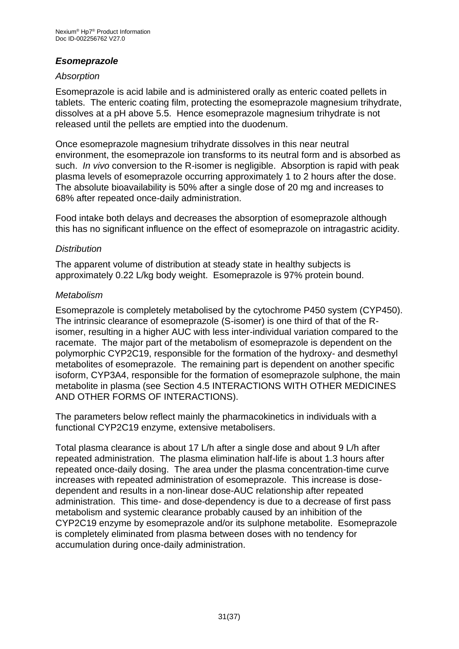### *Esomeprazole*

#### *Absorption*

Esomeprazole is acid labile and is administered orally as enteric coated pellets in tablets. The enteric coating film, protecting the esomeprazole magnesium trihydrate, dissolves at a pH above 5.5. Hence esomeprazole magnesium trihydrate is not released until the pellets are emptied into the duodenum.

Once esomeprazole magnesium trihydrate dissolves in this near neutral environment, the esomeprazole ion transforms to its neutral form and is absorbed as such. *In vivo* conversion to the R-isomer is negligible. Absorption is rapid with peak plasma levels of esomeprazole occurring approximately 1 to 2 hours after the dose. The absolute bioavailability is 50% after a single dose of 20 mg and increases to 68% after repeated once-daily administration.

Food intake both delays and decreases the absorption of esomeprazole although this has no significant influence on the effect of esomeprazole on intragastric acidity.

#### *Distribution*

The apparent volume of distribution at steady state in healthy subjects is approximately 0.22 L/kg body weight. Esomeprazole is 97% protein bound.

#### *Metabolism*

Esomeprazole is completely metabolised by the cytochrome P450 system (CYP450). The intrinsic clearance of esomeprazole (S-isomer) is one third of that of the Risomer, resulting in a higher AUC with less inter-individual variation compared to the racemate. The major part of the metabolism of esomeprazole is dependent on the polymorphic CYP2C19, responsible for the formation of the hydroxy- and desmethyl metabolites of esomeprazole. The remaining part is dependent on another specific isoform, CYP3A4, responsible for the formation of esomeprazole sulphone, the main metabolite in plasma (see Section 4.5 INTERACTIONS WITH OTHER MEDICINES AND OTHER FORMS OF INTERACTIONS).

The parameters below reflect mainly the pharmacokinetics in individuals with a functional CYP2C19 enzyme, extensive metabolisers.

Total plasma clearance is about 17 L/h after a single dose and about 9 L/h after repeated administration. The plasma elimination half-life is about 1.3 hours after repeated once-daily dosing. The area under the plasma concentration-time curve increases with repeated administration of esomeprazole. This increase is dosedependent and results in a non-linear dose-AUC relationship after repeated administration. This time- and dose-dependency is due to a decrease of first pass metabolism and systemic clearance probably caused by an inhibition of the CYP2C19 enzyme by esomeprazole and/or its sulphone metabolite. Esomeprazole is completely eliminated from plasma between doses with no tendency for accumulation during once-daily administration.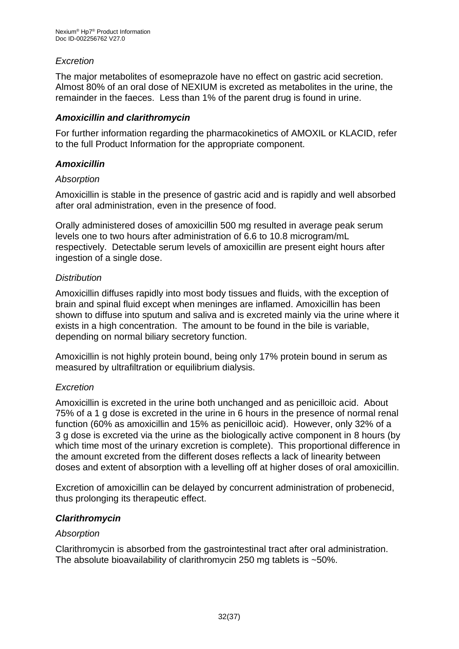### *Excretion*

The major metabolites of esomeprazole have no effect on gastric acid secretion. Almost 80% of an oral dose of NEXIUM is excreted as metabolites in the urine, the remainder in the faeces. Less than 1% of the parent drug is found in urine.

#### *Amoxicillin and clarithromycin*

For further information regarding the pharmacokinetics of AMOXIL or KLACID, refer to the full Product Information for the appropriate component.

#### *Amoxicillin*

#### *Absorption*

Amoxicillin is stable in the presence of gastric acid and is rapidly and well absorbed after oral administration, even in the presence of food.

Orally administered doses of amoxicillin 500 mg resulted in average peak serum levels one to two hours after administration of 6.6 to 10.8 microgram/mL respectively. Detectable serum levels of amoxicillin are present eight hours after ingestion of a single dose.

#### *Distribution*

Amoxicillin diffuses rapidly into most body tissues and fluids, with the exception of brain and spinal fluid except when meninges are inflamed. Amoxicillin has been shown to diffuse into sputum and saliva and is excreted mainly via the urine where it exists in a high concentration. The amount to be found in the bile is variable, depending on normal biliary secretory function.

Amoxicillin is not highly protein bound, being only 17% protein bound in serum as measured by ultrafiltration or equilibrium dialysis.

### *Excretion*

Amoxicillin is excreted in the urine both unchanged and as penicilloic acid. About 75% of a 1 g dose is excreted in the urine in 6 hours in the presence of normal renal function (60% as amoxicillin and 15% as penicilloic acid). However, only 32% of a 3 g dose is excreted via the urine as the biologically active component in 8 hours (by which time most of the urinary excretion is complete). This proportional difference in the amount excreted from the different doses reflects a lack of linearity between doses and extent of absorption with a levelling off at higher doses of oral amoxicillin.

Excretion of amoxicillin can be delayed by concurrent administration of probenecid, thus prolonging its therapeutic effect.

#### *Clarithromycin*

#### *Absorption*

Clarithromycin is absorbed from the gastrointestinal tract after oral administration. The absolute bioavailability of clarithromycin 250 mg tablets is ~50%.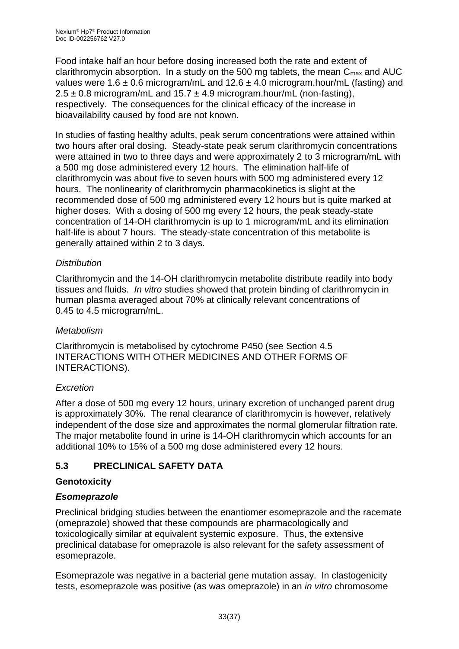Food intake half an hour before dosing increased both the rate and extent of clarithromycin absorption. In a study on the 500 mg tablets, the mean  $C_{\text{max}}$  and AUC values were 1.6  $\pm$  0.6 microgram/mL and 12.6  $\pm$  4.0 microgram.hour/mL (fasting) and  $2.5 \pm 0.8$  microgram/mL and  $15.7 \pm 4.9$  microgram.hour/mL (non-fasting), respectively. The consequences for the clinical efficacy of the increase in bioavailability caused by food are not known.

In studies of fasting healthy adults, peak serum concentrations were attained within two hours after oral dosing. Steady-state peak serum clarithromycin concentrations were attained in two to three days and were approximately 2 to 3 microgram/mL with a 500 mg dose administered every 12 hours. The elimination half-life of clarithromycin was about five to seven hours with 500 mg administered every 12 hours. The nonlinearity of clarithromycin pharmacokinetics is slight at the recommended dose of 500 mg administered every 12 hours but is quite marked at higher doses. With a dosing of 500 mg every 12 hours, the peak steady-state concentration of 14-OH clarithromycin is up to 1 microgram/mL and its elimination half-life is about 7 hours. The steady-state concentration of this metabolite is generally attained within 2 to 3 days.

### *Distribution*

Clarithromycin and the 14-OH clarithromycin metabolite distribute readily into body tissues and fluids. *In vitro* studies showed that protein binding of clarithromycin in human plasma averaged about 70% at clinically relevant concentrations of 0.45 to 4.5 microgram/mL.

### *Metabolism*

Clarithromycin is metabolised by cytochrome P450 (see Section 4.5 INTERACTIONS WITH OTHER MEDICINES AND OTHER FORMS OF INTERACTIONS).

### *Excretion*

After a dose of 500 mg every 12 hours, urinary excretion of unchanged parent drug is approximately 30%. The renal clearance of clarithromycin is however, relatively independent of the dose size and approximates the normal glomerular filtration rate. The major metabolite found in urine is 14-OH clarithromycin which accounts for an additional 10% to 15% of a 500 mg dose administered every 12 hours.

# **5.3 PRECLINICAL SAFETY DATA**

### **Genotoxicity**

### *Esomeprazole*

Preclinical bridging studies between the enantiomer esomeprazole and the racemate (omeprazole) showed that these compounds are pharmacologically and toxicologically similar at equivalent systemic exposure. Thus, the extensive preclinical database for omeprazole is also relevant for the safety assessment of esomeprazole.

Esomeprazole was negative in a bacterial gene mutation assay. In clastogenicity tests, esomeprazole was positive (as was omeprazole) in an *in vitro* chromosome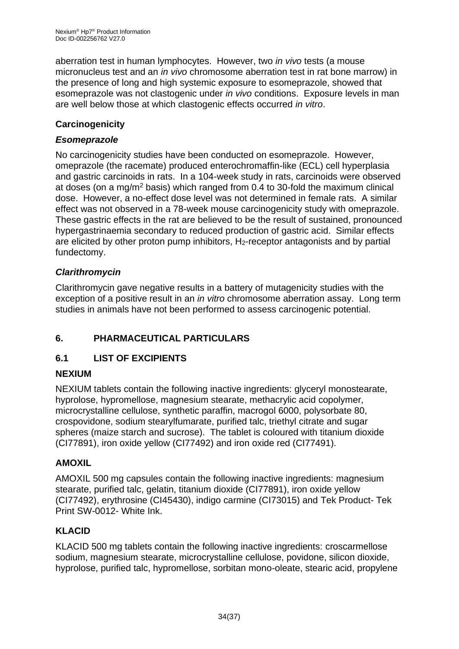aberration test in human lymphocytes. However, two *in vivo* tests (a mouse micronucleus test and an *in vivo* chromosome aberration test in rat bone marrow) in the presence of long and high systemic exposure to esomeprazole, showed that esomeprazole was not clastogenic under *in vivo* conditions. Exposure levels in man are well below those at which clastogenic effects occurred *in vitro*.

### **Carcinogenicity**

### *Esomeprazole*

No carcinogenicity studies have been conducted on esomeprazole. However, omeprazole (the racemate) produced enterochromaffin-like (ECL) cell hyperplasia and gastric carcinoids in rats. In a 104-week study in rats, carcinoids were observed at doses (on a mg/m<sup>2</sup> basis) which ranged from 0.4 to 30-fold the maximum clinical dose. However, a no-effect dose level was not determined in female rats. A similar effect was not observed in a 78-week mouse carcinogenicity study with omeprazole. These gastric effects in the rat are believed to be the result of sustained, pronounced hypergastrinaemia secondary to reduced production of gastric acid. Similar effects are elicited by other proton pump inhibitors, H<sub>2</sub>-receptor antagonists and by partial fundectomy.

### *Clarithromycin*

Clarithromycin gave negative results in a battery of mutagenicity studies with the exception of a positive result in an *in vitro* chromosome aberration assay. Long term studies in animals have not been performed to assess carcinogenic potential.

# **6. PHARMACEUTICAL PARTICULARS**

# **6.1 LIST OF EXCIPIENTS**

### **NEXIUM**

NEXIUM tablets contain the following inactive ingredients: glyceryl monostearate, hyprolose, hypromellose, magnesium stearate, methacrylic acid copolymer, microcrystalline cellulose, synthetic paraffin, macrogol 6000, polysorbate 80, crospovidone, sodium stearylfumarate, purified talc, triethyl citrate and sugar spheres (maize starch and sucrose). The tablet is coloured with titanium dioxide (CI77891), iron oxide yellow (CI77492) and iron oxide red (CI77491).

### **AMOXIL**

AMOXIL 500 mg capsules contain the following inactive ingredients: magnesium stearate, purified talc, gelatin, titanium dioxide (CI77891), iron oxide yellow (CI77492), erythrosine (CI45430), indigo carmine (CI73015) and Tek Product- Tek Print SW-0012- White Ink.

### **KLACID**

KLACID 500 mg tablets contain the following inactive ingredients: croscarmellose sodium, magnesium stearate, microcrystalline cellulose, povidone, silicon dioxide, hyprolose, purified talc, hypromellose, sorbitan mono-oleate, stearic acid, propylene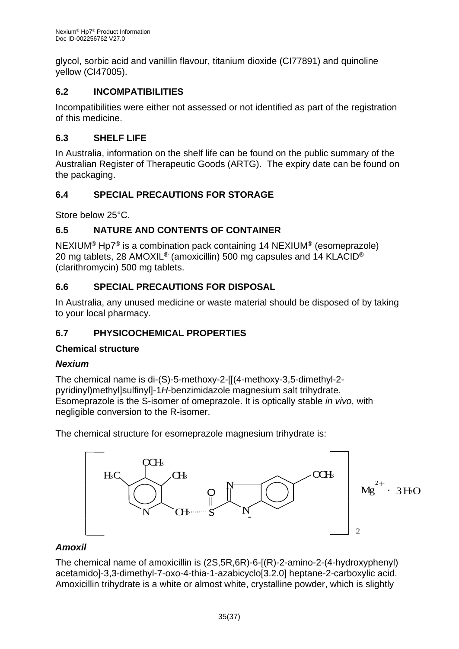glycol, sorbic acid and vanillin flavour, titanium dioxide (CI77891) and quinoline yellow (CI47005).

# **6.2 INCOMPATIBILITIES**

Incompatibilities were either not assessed or not identified as part of the registration of this medicine.

### **6.3 SHELF LIFE**

In Australia, information on the shelf life can be found on the public summary of the Australian Register of Therapeutic Goods (ARTG). The expiry date can be found on the packaging.

# **6.4 SPECIAL PRECAUTIONS FOR STORAGE**

Store below 25°C.

### **6.5 NATURE AND CONTENTS OF CONTAINER**

NEXIUM® Hp7® is a combination pack containing 14 NEXIUM® (esomeprazole) 20 mg tablets, 28 AMOXIL<sup>®</sup> (amoxicillin) 500 mg capsules and 14 KLACID<sup>®</sup> (clarithromycin) 500 mg tablets.

### **6.6 SPECIAL PRECAUTIONS FOR DISPOSAL**

In Australia, any unused medicine or waste material should be disposed of by taking to your local pharmacy.

# **6.7 PHYSICOCHEMICAL PROPERTIES**

### **Chemical structure**

### *Nexium*

The chemical name is di-(S)-5-methoxy-2-[[(4-methoxy-3,5-dimethyl-2 pyridinyl)methyl]sulfinyl]-1*H*-benzimidazole magnesium salt trihydrate. Esomeprazole is the S-isomer of omeprazole. It is optically stable *in vivo*, with negligible conversion to the R-isomer.

The chemical structure for esomeprazole magnesium trihydrate is:



# *Amoxil*

The chemical name of amoxicillin is (2S,5R,6R)-6-[(R)-2-amino-2-(4-hydroxyphenyl) acetamido]-3,3-dimethyl-7-oxo-4-thia-1-azabicyclo[3.2.0] heptane-2-carboxylic acid. Amoxicillin trihydrate is a white or almost white, crystalline powder, which is slightly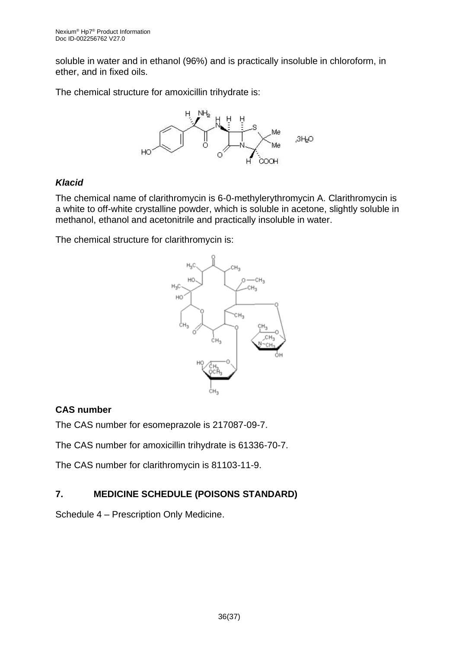soluble in water and in ethanol (96%) and is practically insoluble in chloroform, in ether, and in fixed oils.

The chemical structure for amoxicillin trihydrate is:



### *Klacid*

The chemical name of clarithromycin is 6-0-methylerythromycin A. Clarithromycin is a white to off-white crystalline powder, which is soluble in acetone, slightly soluble in methanol, ethanol and acetonitrile and practically insoluble in water.

The chemical structure for clarithromycin is:



### **CAS number**

The CAS number for esomeprazole is 217087-09-7.

The CAS number for amoxicillin trihydrate is 61336-70-7.

The CAS number for clarithromycin is 81103-11-9.

# **7. MEDICINE SCHEDULE (POISONS STANDARD)**

Schedule 4 – Prescription Only Medicine.